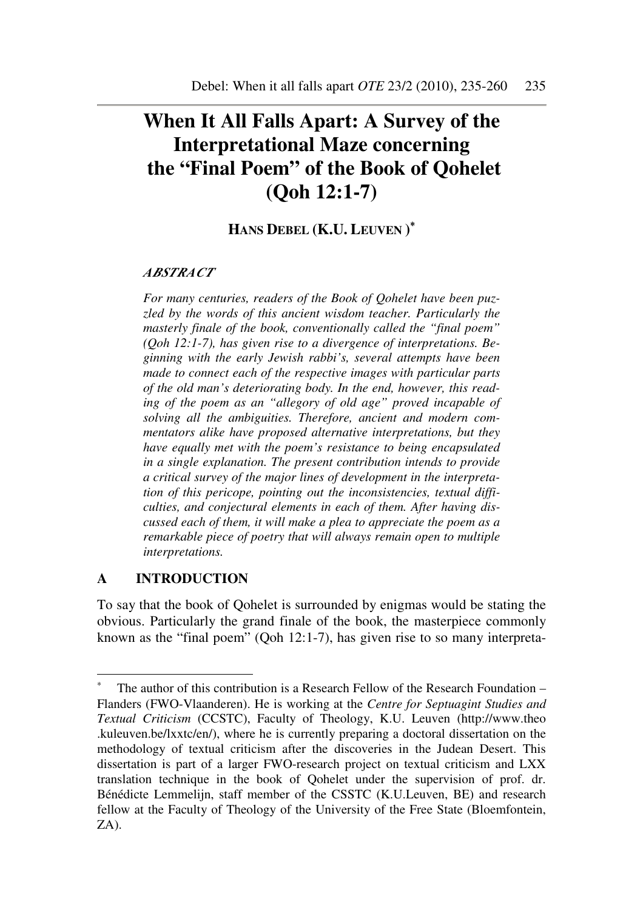# **When It All Falls Apart: A Survey of the Interpretational Maze concerning the "Final Poem" of the Book of Qohelet (Qoh 12:1-7)**

## **HANS DEBEL (K.U. LEUVEN )** ∗

### *ABSTRACT*

*For many centuries, readers of the Book of Qohelet have been puzzled by the words of this ancient wisdom teacher. Particularly the masterly finale of the book, conventionally called the "final poem" (Qoh 12:1-7), has given rise to a divergence of interpretations. Beginning with the early Jewish rabbi's, several attempts have been made to connect each of the respective images with particular parts of the old man's deteriorating body. In the end, however, this reading of the poem as an "allegory of old age" proved incapable of solving all the ambiguities. Therefore, ancient and modern commentators alike have proposed alternative interpretations, but they have equally met with the poem's resistance to being encapsulated in a single explanation. The present contribution intends to provide a critical survey of the major lines of development in the interpretation of this pericope, pointing out the inconsistencies, textual difficulties, and conjectural elements in each of them. After having discussed each of them, it will make a plea to appreciate the poem as a remarkable piece of poetry that will always remain open to multiple interpretations.* 

### **A INTRODUCTION**

 $\overline{a}$ 

To say that the book of Qohelet is surrounded by enigmas would be stating the obvious. Particularly the grand finale of the book, the masterpiece commonly known as the "final poem" (Qoh 12:1-7), has given rise to so many interpreta-

<sup>∗</sup> The author of this contribution is a Research Fellow of the Research Foundation – Flanders (FWO-Vlaanderen). He is working at the *Centre for Septuagint Studies and Textual Criticism* (CCSTC), Faculty of Theology, K.U. Leuven (http://www.theo .kuleuven.be/lxxtc/en/), where he is currently preparing a doctoral dissertation on the methodology of textual criticism after the discoveries in the Judean Desert. This dissertation is part of a larger FWO-research project on textual criticism and LXX translation technique in the book of Qohelet under the supervision of prof. dr. Bénédicte Lemmelijn, staff member of the CSSTC (K.U.Leuven, BE) and research fellow at the Faculty of Theology of the University of the Free State (Bloemfontein, ZA).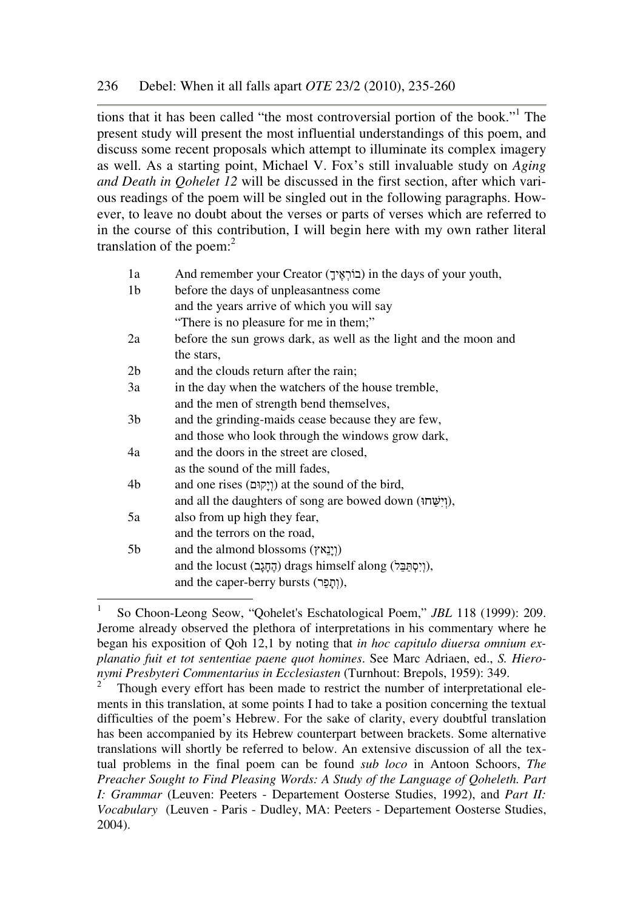tions that it has been called "the most controversial portion of the book."<sup>1</sup> The present study will present the most influential understandings of this poem, and discuss some recent proposals which attempt to illuminate its complex imagery as well. As a starting point, Michael V. Fox's still invaluable study on *Aging and Death in Qohelet 12* will be discussed in the first section, after which various readings of the poem will be singled out in the following paragraphs. However, to leave no doubt about the verses or parts of verses which are referred to in the course of this contribution, I will begin here with my own rather literal translation of the poem: $2$ 

| 1a             | And remember your Creator (בוֹרְאֶיךָ) in the days of your youth, |
|----------------|-------------------------------------------------------------------|
| 1 <sub>b</sub> | before the days of unpleasantness come                            |
|                | and the years arrive of which you will say                        |
|                | "There is no pleasure for me in them;"                            |
| 2a             | before the sun grows dark, as well as the light and the moon and  |
|                | the stars,                                                        |
| 2 <sub>b</sub> | and the clouds return after the rain;                             |
| 3a             | in the day when the watchers of the house tremble,                |
|                | and the men of strength bend themselves,                          |
| 3 <sub>b</sub> | and the grinding-maids cease because they are few,                |
|                | and those who look through the windows grow dark,                 |
| 4a             | and the doors in the street are closed,                           |
|                | as the sound of the mill fades,                                   |
| 4b             | and one rises (וְיָקוּם) at the sound of the bird,                |
|                | and all the daughters of song are bowed down (יִישָׂחו),          |
| 5a             | also from up high they fear,                                      |
|                | and the terrors on the road,                                      |
| 5b             | and the almond blossoms (וְיָנֵאץ)                                |
|                | and the locust (הֶחֶגָב) drags himself along (יְיִסְתַּבֵּל),     |
|                | and the caper-berry bursts (וְתָפֵר),                             |
|                |                                                                   |

 $\frac{1}{1}$  So Choon-Leong Seow, "Qohelet's Eschatological Poem," *JBL* 118 (1999): 209. Jerome already observed the plethora of interpretations in his commentary where he began his exposition of Qoh 12,1 by noting that *in hoc capitulo diuersa omnium explanatio fuit et tot sententiae paene quot homines*. See Marc Adriaen, ed., *S. Hieronymi Presbyteri Commentarius in Ecclesiasten* (Turnhout: Brepols, 1959): 349.

<sup>2</sup> Though every effort has been made to restrict the number of interpretational elements in this translation, at some points I had to take a position concerning the textual difficulties of the poem's Hebrew. For the sake of clarity, every doubtful translation has been accompanied by its Hebrew counterpart between brackets. Some alternative translations will shortly be referred to below. An extensive discussion of all the textual problems in the final poem can be found *sub loco* in Antoon Schoors, *The Preacher Sought to Find Pleasing Words: A Study of the Language of Qoheleth. Part I: Grammar* (Leuven: Peeters - Departement Oosterse Studies, 1992), and *Part II: Vocabulary* (Leuven - Paris - Dudley, MA: Peeters - Departement Oosterse Studies, 2004).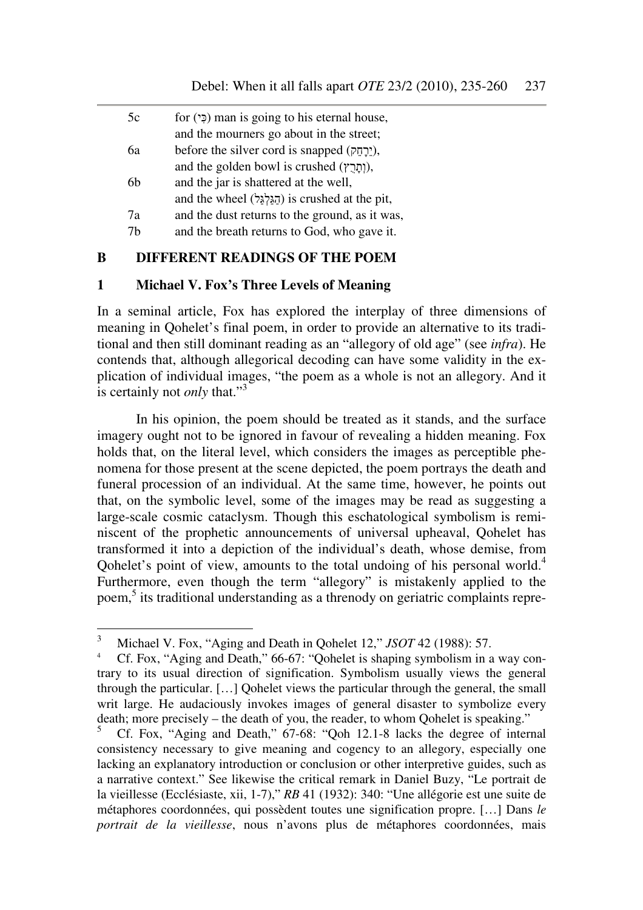| 5c | for $(2)$ man is going to his eternal house,      |
|----|---------------------------------------------------|
|    | and the mourners go about in the street;          |
| ба | before the silver cord is snapped (יֲרַחֱק),      |
|    | and the golden bowl is crushed $($ ותֲרָץ),       |
| 6h | and the jar is shattered at the well,             |
|    | and the wheel (הַגֲלְגֵּל) is crushed at the pit, |
| 7a | and the dust returns to the ground, as it was,    |
| 7h | and the breath returns to God, who gave it.       |
|    |                                                   |

#### **B DIFFERENT READINGS OF THE POEM**

#### **1 Michael V. Fox's Three Levels of Meaning**

In a seminal article, Fox has explored the interplay of three dimensions of meaning in Qohelet's final poem, in order to provide an alternative to its traditional and then still dominant reading as an "allegory of old age" (see *infra*). He contends that, although allegorical decoding can have some validity in the explication of individual images, "the poem as a whole is not an allegory. And it is certainly not *only* that."<sup>3</sup>

In his opinion, the poem should be treated as it stands, and the surface imagery ought not to be ignored in favour of revealing a hidden meaning. Fox holds that, on the literal level, which considers the images as perceptible phenomena for those present at the scene depicted, the poem portrays the death and funeral procession of an individual. At the same time, however, he points out that, on the symbolic level, some of the images may be read as suggesting a large-scale cosmic cataclysm. Though this eschatological symbolism is reminiscent of the prophetic announcements of universal upheaval, Qohelet has transformed it into a depiction of the individual's death, whose demise, from Qohelet's point of view, amounts to the total undoing of his personal world.<sup>4</sup> Furthermore, even though the term "allegory" is mistakenly applied to the poem, 5 its traditional understanding as a threnody on geriatric complaints repre-

 3 Michael V. Fox, "Aging and Death in Qohelet 12," *JSOT* 42 (1988): 57.

<sup>4</sup> Cf. Fox, "Aging and Death," 66-67: "Qohelet is shaping symbolism in a way contrary to its usual direction of signification. Symbolism usually views the general through the particular. […] Qohelet views the particular through the general, the small writ large. He audaciously invokes images of general disaster to symbolize every death; more precisely – the death of you, the reader, to whom Qohelet is speaking."

<sup>5</sup> Cf. Fox, "Aging and Death," 67-68: "Qoh 12.1-8 lacks the degree of internal consistency necessary to give meaning and cogency to an allegory, especially one lacking an explanatory introduction or conclusion or other interpretive guides, such as a narrative context." See likewise the critical remark in Daniel Buzy, "Le portrait de la vieillesse (Ecclésiaste, xii, 1-7)," *RB* 41 (1932): 340: "Une allégorie est une suite de métaphores coordonnées, qui possèdent toutes une signification propre. […] Dans *le portrait de la vieillesse*, nous n'avons plus de métaphores coordonnées, mais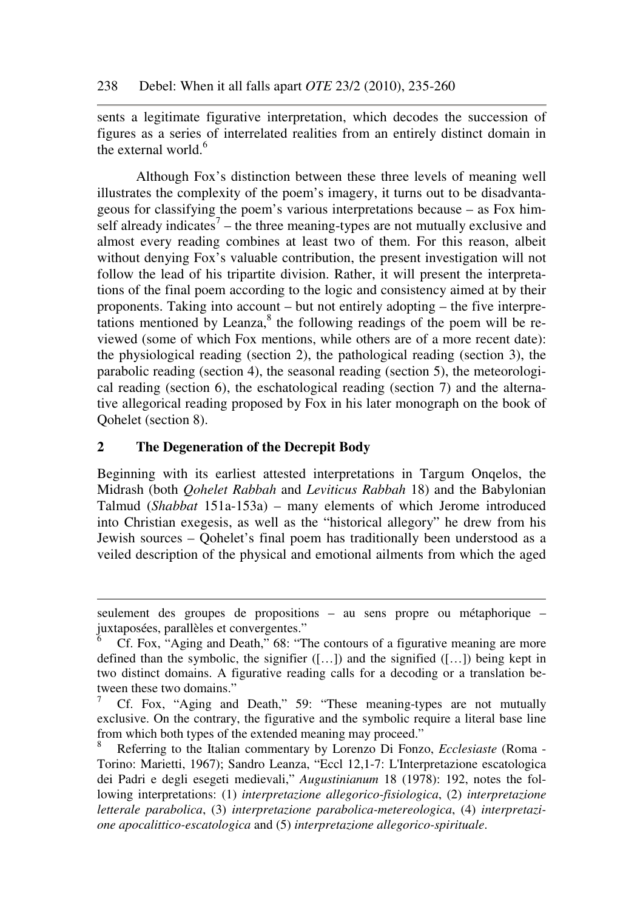sents a legitimate figurative interpretation, which decodes the succession of figures as a series of interrelated realities from an entirely distinct domain in the external world.<sup>6</sup>

Although Fox's distinction between these three levels of meaning well illustrates the complexity of the poem's imagery, it turns out to be disadvantageous for classifying the poem's various interpretations because – as Fox himself already indicates<sup>7</sup> – the three meaning-types are not mutually exclusive and almost every reading combines at least two of them. For this reason, albeit without denying Fox's valuable contribution, the present investigation will not follow the lead of his tripartite division. Rather, it will present the interpretations of the final poem according to the logic and consistency aimed at by their proponents. Taking into account – but not entirely adopting – the five interpretations mentioned by Leanza, $8$  the following readings of the poem will be reviewed (some of which Fox mentions, while others are of a more recent date): the physiological reading (section 2), the pathological reading (section 3), the parabolic reading (section 4), the seasonal reading (section 5), the meteorological reading (section 6), the eschatological reading (section 7) and the alternative allegorical reading proposed by Fox in his later monograph on the book of Qohelet (section 8).

## **2 The Degeneration of the Decrepit Body**

 $\overline{a}$ 

Beginning with its earliest attested interpretations in Targum Onqelos, the Midrash (both *Qohelet Rabbah* and *Leviticus Rabbah* 18) and the Babylonian Talmud (*Shabbat* 151a-153a) – many elements of which Jerome introduced into Christian exegesis, as well as the "historical allegory" he drew from his Jewish sources – Qohelet's final poem has traditionally been understood as a veiled description of the physical and emotional ailments from which the aged

seulement des groupes de propositions – au sens propre ou métaphorique – juxtaposées, parallèles et convergentes."

<sup>6</sup> Cf. Fox, "Aging and Death," 68: "The contours of a figurative meaning are more defined than the symbolic, the signifier  $([-,-])$  and the signified  $([-,-])$  being kept in two distinct domains. A figurative reading calls for a decoding or a translation between these two domains."

<sup>7</sup> Cf. Fox, "Aging and Death," 59: "These meaning-types are not mutually exclusive. On the contrary, the figurative and the symbolic require a literal base line from which both types of the extended meaning may proceed."

<sup>8</sup> Referring to the Italian commentary by Lorenzo Di Fonzo, *Ecclesiaste* (Roma - Torino: Marietti, 1967); Sandro Leanza, "Eccl 12,1-7: L'Interpretazione escatologica dei Padri e degli esegeti medievali," *Augustinianum* 18 (1978): 192, notes the following interpretations: (1) *interpretazione allegorico-fisiologica*, (2) *interpretazione letterale parabolica*, (3) *interpretazione parabolica-metereologica*, (4) *interpretazione apocalittico-escatologica* and (5) *interpretazione allegorico-spirituale*.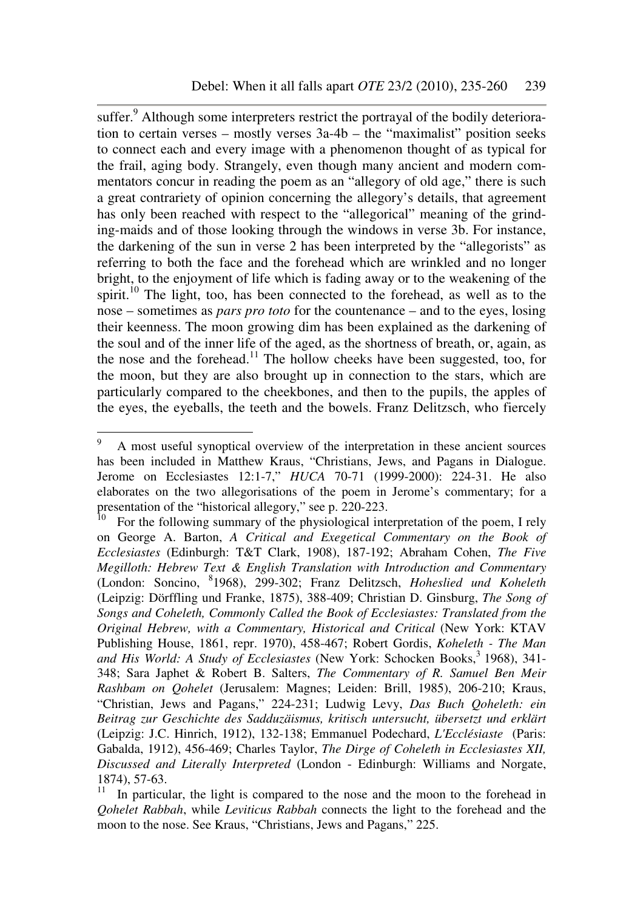suffer.<sup>9</sup> Although some interpreters restrict the portrayal of the bodily deterioration to certain verses – mostly verses 3a-4b – the "maximalist" position seeks to connect each and every image with a phenomenon thought of as typical for the frail, aging body. Strangely, even though many ancient and modern commentators concur in reading the poem as an "allegory of old age," there is such a great contrariety of opinion concerning the allegory's details, that agreement has only been reached with respect to the "allegorical" meaning of the grinding-maids and of those looking through the windows in verse 3b. For instance, the darkening of the sun in verse 2 has been interpreted by the "allegorists" as referring to both the face and the forehead which are wrinkled and no longer bright, to the enjoyment of life which is fading away or to the weakening of the spirit.<sup>10</sup> The light, too, has been connected to the forehead, as well as to the nose – sometimes as *pars pro toto* for the countenance – and to the eyes, losing their keenness. The moon growing dim has been explained as the darkening of the soul and of the inner life of the aged, as the shortness of breath, or, again, as the nose and the forehead.<sup>11</sup> The hollow cheeks have been suggested, too, for the moon, but they are also brought up in connection to the stars, which are particularly compared to the cheekbones, and then to the pupils, the apples of the eyes, the eyeballs, the teeth and the bowels. Franz Delitzsch, who fiercely

<sup>&</sup>lt;sup>9</sup> A most useful synoptical overview of the interpretation in these ancient sources has been included in Matthew Kraus, "Christians, Jews, and Pagans in Dialogue. Jerome on Ecclesiastes 12:1-7," *HUCA* 70-71 (1999-2000): 224-31. He also elaborates on the two allegorisations of the poem in Jerome's commentary; for a presentation of the "historical allegory," see p. 220-223.<br><sup>10</sup> For the following sum

For the following summary of the physiological interpretation of the poem, I rely on George A. Barton, *A Critical and Exegetical Commentary on the Book of Ecclesiastes* (Edinburgh: T&T Clark, 1908), 187-192; Abraham Cohen, *The Five Megilloth: Hebrew Text & English Translation with Introduction and Commentary* (London: Soncino, <sup>8</sup> 1968), 299-302; Franz Delitzsch, *Hoheslied und Koheleth* (Leipzig: Dörffling und Franke, 1875), 388-409; Christian D. Ginsburg, *The Song of Songs and Coheleth, Commonly Called the Book of Ecclesiastes: Translated from the Original Hebrew, with a Commentary, Historical and Critical* (New York: KTAV Publishing House, 1861, repr. 1970), 458-467; Robert Gordis, *Koheleth - The Man*  and His World: A Study of Ecclesiastes (New York: Schocken Books,<sup>3</sup> 1968), 341-348; Sara Japhet & Robert B. Salters, *The Commentary of R. Samuel Ben Meir Rashbam on Qohelet* (Jerusalem: Magnes; Leiden: Brill, 1985), 206-210; Kraus, "Christian, Jews and Pagans," 224-231; Ludwig Levy, *Das Buch Qoheleth: ein Beitrag zur Geschichte des Sadduzäismus, kritisch untersucht, übersetzt und erklärt* (Leipzig: J.C. Hinrich, 1912), 132-138; Emmanuel Podechard, *L'Ecclésiaste* (Paris: Gabalda, 1912), 456-469; Charles Taylor, *The Dirge of Coheleth in Ecclesiastes XII, Discussed and Literally Interpreted* (London - Edinburgh: Williams and Norgate, 1874), 57-63.

<sup>11</sup> In particular, the light is compared to the nose and the moon to the forehead in *Qohelet Rabbah*, while *Leviticus Rabbah* connects the light to the forehead and the moon to the nose. See Kraus, "Christians, Jews and Pagans," 225.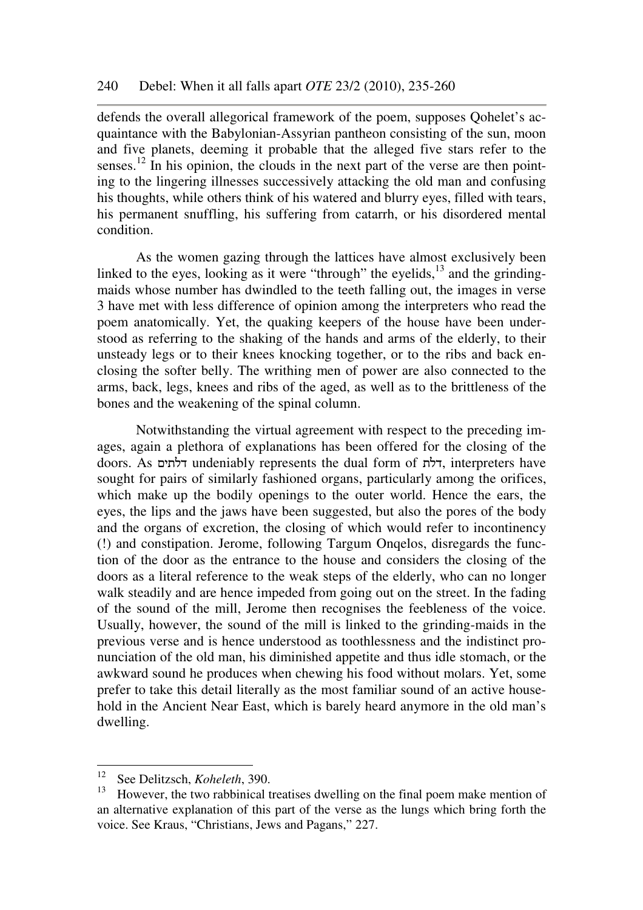defends the overall allegorical framework of the poem, supposes Qohelet's acquaintance with the Babylonian-Assyrian pantheon consisting of the sun, moon and five planets, deeming it probable that the alleged five stars refer to the senses.<sup>12</sup> In his opinion, the clouds in the next part of the verse are then pointing to the lingering illnesses successively attacking the old man and confusing his thoughts, while others think of his watered and blurry eyes, filled with tears, his permanent snuffling, his suffering from catarrh, or his disordered mental condition.

As the women gazing through the lattices have almost exclusively been linked to the eyes, looking as it were "through" the eyelids, $13$  and the grindingmaids whose number has dwindled to the teeth falling out, the images in verse 3 have met with less difference of opinion among the interpreters who read the poem anatomically. Yet, the quaking keepers of the house have been understood as referring to the shaking of the hands and arms of the elderly, to their unsteady legs or to their knees knocking together, or to the ribs and back enclosing the softer belly. The writhing men of power are also connected to the arms, back, legs, knees and ribs of the aged, as well as to the brittleness of the bones and the weakening of the spinal column.

Notwithstanding the virtual agreement with respect to the preceding images, again a plethora of explanations has been offered for the closing of the doors. As דלתים undeniably represents the dual form of דלת, interpreters have sought for pairs of similarly fashioned organs, particularly among the orifices, which make up the bodily openings to the outer world. Hence the ears, the eyes, the lips and the jaws have been suggested, but also the pores of the body and the organs of excretion, the closing of which would refer to incontinency (!) and constipation. Jerome, following Targum Onqelos, disregards the function of the door as the entrance to the house and considers the closing of the doors as a literal reference to the weak steps of the elderly, who can no longer walk steadily and are hence impeded from going out on the street. In the fading of the sound of the mill, Jerome then recognises the feebleness of the voice. Usually, however, the sound of the mill is linked to the grinding-maids in the previous verse and is hence understood as toothlessness and the indistinct pronunciation of the old man, his diminished appetite and thus idle stomach, or the awkward sound he produces when chewing his food without molars. Yet, some prefer to take this detail literally as the most familiar sound of an active household in the Ancient Near East, which is barely heard anymore in the old man's dwelling.

<sup>12</sup> See Delitzsch, *Koheleth*, 390.

<sup>&</sup>lt;sup>13</sup> However, the two rabbinical treatises dwelling on the final poem make mention of an alternative explanation of this part of the verse as the lungs which bring forth the voice. See Kraus, "Christians, Jews and Pagans," 227.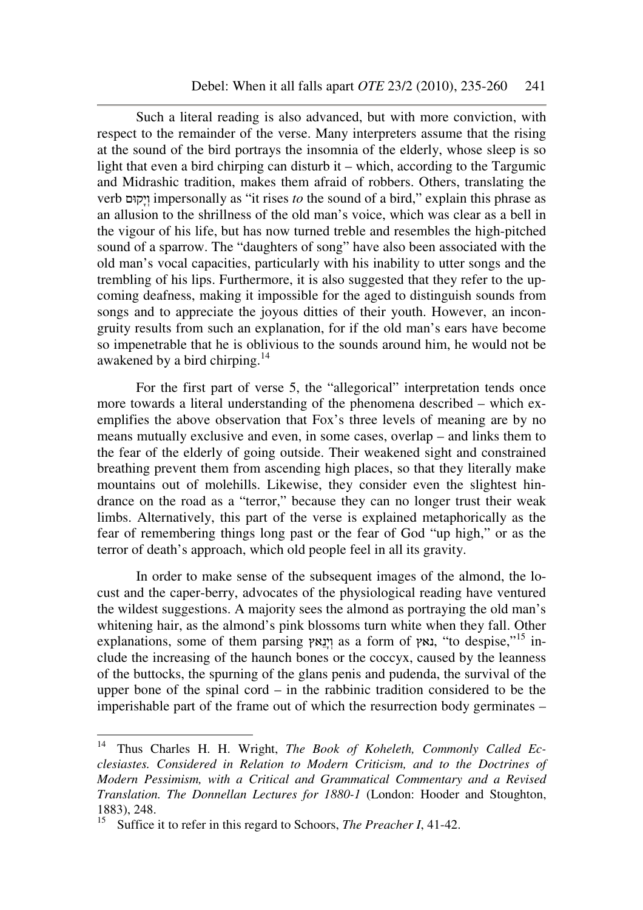Such a literal reading is also advanced, but with more conviction, with respect to the remainder of the verse. Many interpreters assume that the rising at the sound of the bird portrays the insomnia of the elderly, whose sleep is so light that even a bird chirping can disturb it – which, according to the Targumic and Midrashic tradition, makes them afraid of robbers. Others, translating the verb קוּםָי ְו impersonally as "it rises *to* the sound of a bird," explain this phrase as an allusion to the shrillness of the old man's voice, which was clear as a bell in the vigour of his life, but has now turned treble and resembles the high-pitched sound of a sparrow. The "daughters of song" have also been associated with the old man's vocal capacities, particularly with his inability to utter songs and the trembling of his lips. Furthermore, it is also suggested that they refer to the upcoming deafness, making it impossible for the aged to distinguish sounds from songs and to appreciate the joyous ditties of their youth. However, an incongruity results from such an explanation, for if the old man's ears have become so impenetrable that he is oblivious to the sounds around him, he would not be awakened by a bird chirping.<sup>14</sup>

For the first part of verse 5, the "allegorical" interpretation tends once more towards a literal understanding of the phenomena described – which exemplifies the above observation that Fox's three levels of meaning are by no means mutually exclusive and even, in some cases, overlap – and links them to the fear of the elderly of going outside. Their weakened sight and constrained breathing prevent them from ascending high places, so that they literally make mountains out of molehills. Likewise, they consider even the slightest hindrance on the road as a "terror," because they can no longer trust their weak limbs. Alternatively, this part of the verse is explained metaphorically as the fear of remembering things long past or the fear of God "up high," or as the terror of death's approach, which old people feel in all its gravity.

In order to make sense of the subsequent images of the almond, the locust and the caper-berry, advocates of the physiological reading have ventured the wildest suggestions. A majority sees the almond as portraying the old man's whitening hair, as the almond's pink blossoms turn white when they fall. Other explanations, some of them parsing וינאץ as a form of נאץ, "to despise,"<sup>15</sup> include the increasing of the haunch bones or the coccyx, caused by the leanness of the buttocks, the spurning of the glans penis and pudenda, the survival of the upper bone of the spinal cord – in the rabbinic tradition considered to be the imperishable part of the frame out of which the resurrection body germinates –

Thus Charles H. H. Wright, *The Book of Koheleth, Commonly Called Ecclesiastes. Considered in Relation to Modern Criticism, and to the Doctrines of Modern Pessimism, with a Critical and Grammatical Commentary and a Revised Translation. The Donnellan Lectures for 1880-1* (London: Hooder and Stoughton, 1883), 248.

<sup>15</sup> Suffice it to refer in this regard to Schoors, *The Preacher I*, 41-42.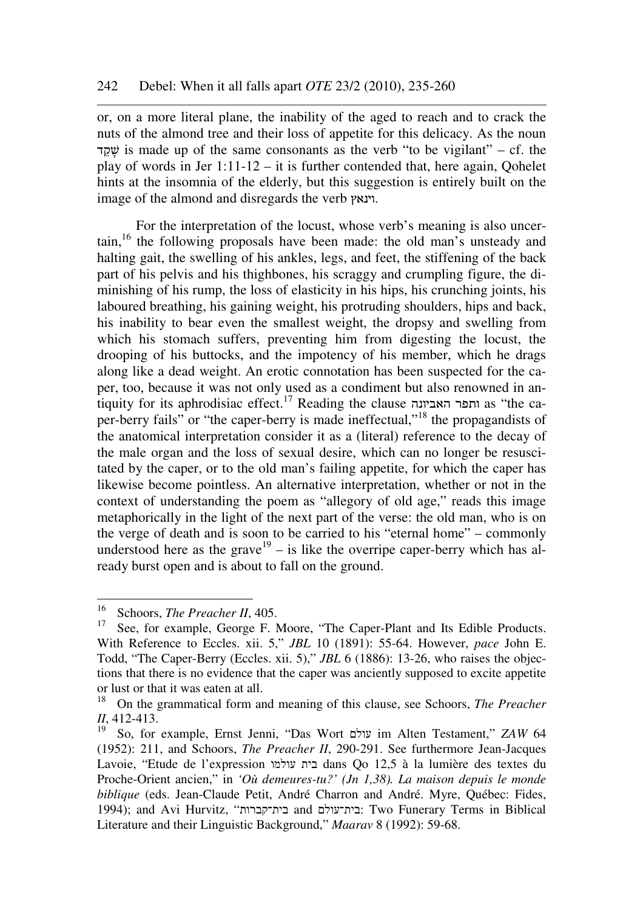or, on a more literal plane, the inability of the aged to reach and to crack the nuts of the almond tree and their loss of appetite for this delicacy. As the noun שׁקד is made up of the same consonants as the verb "to be vigilant" – cf. the play of words in Jer  $1:11-12 - it$  is further contended that, here again, Oohelet hints at the insomnia of the elderly, but this suggestion is entirely built on the image of the almond and disregards the verb וינאץ.

For the interpretation of the locust, whose verb's meaning is also uncertain,<sup>16</sup> the following proposals have been made: the old man's unsteady and halting gait, the swelling of his ankles, legs, and feet, the stiffening of the back part of his pelvis and his thighbones, his scraggy and crumpling figure, the diminishing of his rump, the loss of elasticity in his hips, his crunching joints, his laboured breathing, his gaining weight, his protruding shoulders, hips and back, his inability to bear even the smallest weight, the dropsy and swelling from which his stomach suffers, preventing him from digesting the locust, the drooping of his buttocks, and the impotency of his member, which he drags along like a dead weight. An erotic connotation has been suspected for the caper, too, because it was not only used as a condiment but also renowned in antiquity for its aphrodisiac effect.<sup>17</sup> Reading the clause האביונה ותפר as "the caper-berry fails" or "the caper-berry is made ineffectual,"<sup>18</sup> the propagandists of the anatomical interpretation consider it as a (literal) reference to the decay of the male organ and the loss of sexual desire, which can no longer be resuscitated by the caper, or to the old man's failing appetite, for which the caper has likewise become pointless. An alternative interpretation, whether or not in the context of understanding the poem as "allegory of old age," reads this image metaphorically in the light of the next part of the verse: the old man, who is on the verge of death and is soon to be carried to his "eternal home" – commonly understood here as the grave<sup>19</sup> – is like the overripe caper-berry which has already burst open and is about to fall on the ground.

 $16<sup>16</sup>$ <sup>16</sup> Schoors, *The Preacher II*, 405.<br><sup>17</sup> See for example George E M

See, for example, George F. Moore, "The Caper-Plant and Its Edible Products. With Reference to Eccles. xii. 5," *JBL* 10 (1891): 55-64. However, *pace* John E. Todd, "The Caper-Berry (Eccles. xii. 5)," *JBL* 6 (1886): 13-26, who raises the objections that there is no evidence that the caper was anciently supposed to excite appetite or lust or that it was eaten at all.<br> $^{18}$  On the grammatical form at

<sup>18</sup> On the grammatical form and meaning of this clause, see Schoors, *The Preacher II*, 412-413.

<sup>19</sup> So, for example, Ernst Jenni, "Das Wort עולם im Alten Testament," *ZAW* 64 (1952): 211, and Schoors, *The Preacher II*, 290-291. See furthermore Jean-Jacques Lavoie, "Etude de l'expression עולמו בית dans Qo 12,5 à la lumière des textes du Proche-Orient ancien," in *'Où demeures-tu?' (Jn 1,38). La maison depuis le monde biblique* (eds. Jean-Claude Petit, André Charron and André. Myre, Québec: Fides, 1994); and Avi Hurvitz, "קברות#בית and עולם#בית: Two Funerary Terms in Biblical Literature and their Linguistic Background," *Maarav* 8 (1992): 59-68.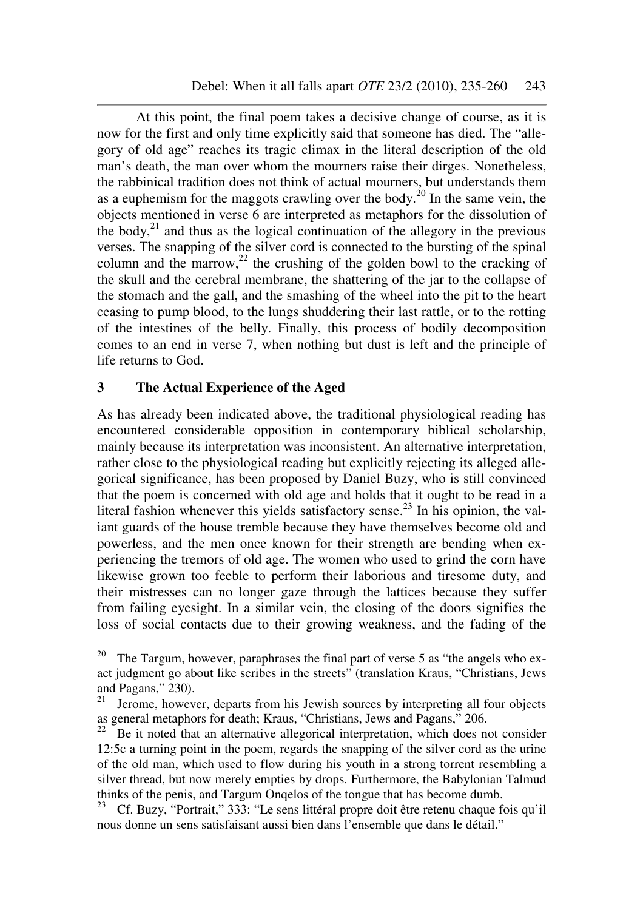At this point, the final poem takes a decisive change of course, as it is now for the first and only time explicitly said that someone has died. The "allegory of old age" reaches its tragic climax in the literal description of the old man's death, the man over whom the mourners raise their dirges. Nonetheless, the rabbinical tradition does not think of actual mourners, but understands them as a euphemism for the maggots crawling over the body.<sup>20</sup> In the same vein, the objects mentioned in verse 6 are interpreted as metaphors for the dissolution of the body,  $2^{21}$  and thus as the logical continuation of the allegory in the previous verses. The snapping of the silver cord is connected to the bursting of the spinal column and the marrow,<sup>22</sup> the crushing of the golden bowl to the cracking of the skull and the cerebral membrane, the shattering of the jar to the collapse of the stomach and the gall, and the smashing of the wheel into the pit to the heart ceasing to pump blood, to the lungs shuddering their last rattle, or to the rotting of the intestines of the belly. Finally, this process of bodily decomposition comes to an end in verse 7, when nothing but dust is left and the principle of life returns to God.

### **3 The Actual Experience of the Aged**

As has already been indicated above, the traditional physiological reading has encountered considerable opposition in contemporary biblical scholarship, mainly because its interpretation was inconsistent. An alternative interpretation, rather close to the physiological reading but explicitly rejecting its alleged allegorical significance, has been proposed by Daniel Buzy, who is still convinced that the poem is concerned with old age and holds that it ought to be read in a literal fashion whenever this yields satisfactory sense.<sup>23</sup> In his opinion, the valiant guards of the house tremble because they have themselves become old and powerless, and the men once known for their strength are bending when experiencing the tremors of old age. The women who used to grind the corn have likewise grown too feeble to perform their laborious and tiresome duty, and their mistresses can no longer gaze through the lattices because they suffer from failing eyesight. In a similar vein, the closing of the doors signifies the loss of social contacts due to their growing weakness, and the fading of the

 $20\,$ The Targum, however, paraphrases the final part of verse 5 as "the angels who exact judgment go about like scribes in the streets" (translation Kraus, "Christians, Jews and Pagans," 230).<br> $^{21}$  Joroma, however

<sup>21</sup> Jerome, however, departs from his Jewish sources by interpreting all four objects as general metaphors for death; Kraus, "Christians, Jews and Pagans," 206.<br><sup>22</sup> Be it noted that an alternative allegorical interpretation, which does no

Be it noted that an alternative allegorical interpretation, which does not consider 12:5c a turning point in the poem, regards the snapping of the silver cord as the urine of the old man, which used to flow during his youth in a strong torrent resembling a silver thread, but now merely empties by drops. Furthermore, the Babylonian Talmud thinks of the penis, and Targum Onqelos of the tongue that has become dumb.<br> $^{23}$  Cf. Buzy "Portrait," 333: "Le sens littéral propre doit être retenu chaque f

<sup>23</sup> Cf. Buzy, "Portrait," 333: "Le sens littéral propre doit être retenu chaque fois qu'il nous donne un sens satisfaisant aussi bien dans l'ensemble que dans le détail."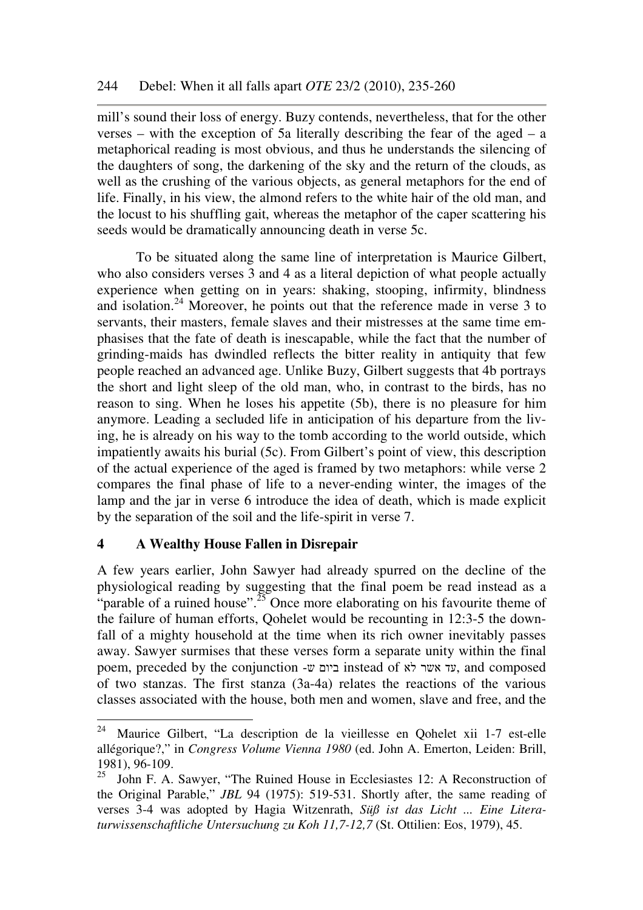mill's sound their loss of energy. Buzy contends, nevertheless, that for the other verses – with the exception of 5a literally describing the fear of the aged – a metaphorical reading is most obvious, and thus he understands the silencing of the daughters of song, the darkening of the sky and the return of the clouds, as well as the crushing of the various objects, as general metaphors for the end of life. Finally, in his view, the almond refers to the white hair of the old man, and the locust to his shuffling gait, whereas the metaphor of the caper scattering his seeds would be dramatically announcing death in verse 5c.

To be situated along the same line of interpretation is Maurice Gilbert, who also considers verses 3 and 4 as a literal depiction of what people actually experience when getting on in years: shaking, stooping, infirmity, blindness and isolation.<sup>24</sup> Moreover, he points out that the reference made in verse 3 to servants, their masters, female slaves and their mistresses at the same time emphasises that the fate of death is inescapable, while the fact that the number of grinding-maids has dwindled reflects the bitter reality in antiquity that few people reached an advanced age. Unlike Buzy, Gilbert suggests that 4b portrays the short and light sleep of the old man, who, in contrast to the birds, has no reason to sing. When he loses his appetite (5b), there is no pleasure for him anymore. Leading a secluded life in anticipation of his departure from the living, he is already on his way to the tomb according to the world outside, which impatiently awaits his burial (5c). From Gilbert's point of view, this description of the actual experience of the aged is framed by two metaphors: while verse 2 compares the final phase of life to a never-ending winter, the images of the lamp and the jar in verse 6 introduce the idea of death, which is made explicit by the separation of the soil and the life-spirit in verse 7.

## **4 A Wealthy House Fallen in Disrepair**

A few years earlier, John Sawyer had already spurred on the decline of the physiological reading by suggesting that the final poem be read instead as a "parable of a ruined house".<sup>25</sup> Once more elaborating on his favourite theme of the failure of human efforts, Qohelet would be recounting in 12:3-5 the downfall of a mighty household at the time when its rich owner inevitably passes away. Sawyer surmises that these verses form a separate unity within the final poem, preceded by the conjunction -ש ביום instead of לא אשר עד, and composed of two stanzas. The first stanza (3a-4a) relates the reactions of the various classes associated with the house, both men and women, slave and free, and the

 $24\,$ <sup>24</sup> Maurice Gilbert, "La description de la vieillesse en Qohelet xii 1-7 est-elle allégorique?," in *Congress Volume Vienna 1980* (ed. John A. Emerton, Leiden: Brill, 1981), 96-109.

 $25$  John F. A. Sawyer, "The Ruined House in Ecclesiastes 12: A Reconstruction of the Original Parable," *JBL* 94 (1975): 519-531. Shortly after, the same reading of verses 3-4 was adopted by Hagia Witzenrath, *Süß ist das Licht ... Eine Literaturwissenschaftliche Untersuchung zu Koh 11,7-12,7* (St. Ottilien: Eos, 1979), 45.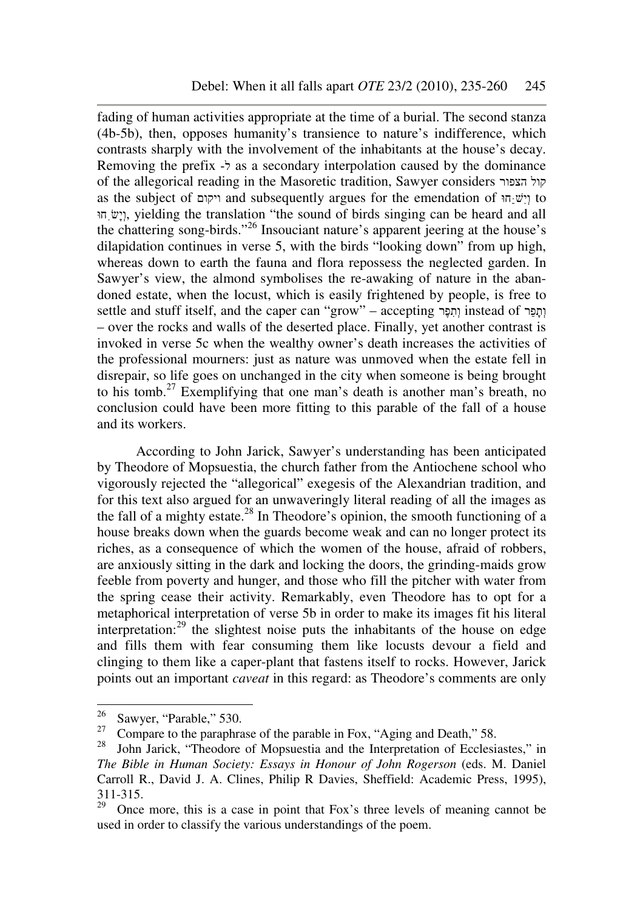fading of human activities appropriate at the time of a burial. The second stanza (4b-5b), then, opposes humanity's transience to nature's indifference, which contrasts sharply with the involvement of the inhabitants at the house's decay. Removing the prefix ל- as a secondary interpolation caused by the dominance of the allegorical reading in the Masoretic tradition, Sawyer considers הצפור קול as the subject of ויקום and subsequently argues for the emendation of חוַּּשִׁיְו to וְיָשׂ<sub>ּ,</sub> ni v:), yielding the translation "the sound of birds singing can be heard and all the chattering song-birds."<sup>26</sup> Insouciant nature's apparent jeering at the house's dilapidation continues in verse 5, with the birds "looking down" from up high, whereas down to earth the fauna and flora repossess the neglected garden. In Sawyer's view, the almond symbolises the re-awaking of nature in the abandoned estate, when the locust, which is easily frightened by people, is free to settle and stuff itself, and the caper can "grow" – accepting רֶפִתְו instead of רֵפָתְו – over the rocks and walls of the deserted place. Finally, yet another contrast is invoked in verse 5c when the wealthy owner's death increases the activities of the professional mourners: just as nature was unmoved when the estate fell in disrepair, so life goes on unchanged in the city when someone is being brought to his tomb.<sup>27</sup> Exemplifying that one man's death is another man's breath, no conclusion could have been more fitting to this parable of the fall of a house and its workers.

According to John Jarick, Sawyer's understanding has been anticipated by Theodore of Mopsuestia, the church father from the Antiochene school who vigorously rejected the "allegorical" exegesis of the Alexandrian tradition, and for this text also argued for an unwaveringly literal reading of all the images as the fall of a mighty estate.<sup>28</sup> In Theodore's opinion, the smooth functioning of a house breaks down when the guards become weak and can no longer protect its riches, as a consequence of which the women of the house, afraid of robbers, are anxiously sitting in the dark and locking the doors, the grinding-maids grow feeble from poverty and hunger, and those who fill the pitcher with water from the spring cease their activity. Remarkably, even Theodore has to opt for a metaphorical interpretation of verse 5b in order to make its images fit his literal interpretation:<sup>29</sup> the slightest noise puts the inhabitants of the house on edge and fills them with fear consuming them like locusts devour a field and clinging to them like a caper-plant that fastens itself to rocks. However, Jarick points out an important *caveat* in this regard: as Theodore's comments are only

<sup>26</sup>  $\frac{26}{27}$  Sawyer, "Parable," 530.

<sup>&</sup>lt;sup>27</sup> Compare to the paraphrase of the parable in Fox, "Aging and Death," 58.<br><sup>28</sup> Lohn Jarick, "Theodore of Monsuestia and the Interpretation of Ecclesi

John Jarick, "Theodore of Mopsuestia and the Interpretation of Ecclesiastes," in *The Bible in Human Society: Essays in Honour of John Rogerson* (eds. M. Daniel Carroll R., David J. A. Clines, Philip R Davies, Sheffield: Academic Press, 1995),  $311-315$ .<br> $29$  Open

Once more, this is a case in point that Fox's three levels of meaning cannot be used in order to classify the various understandings of the poem.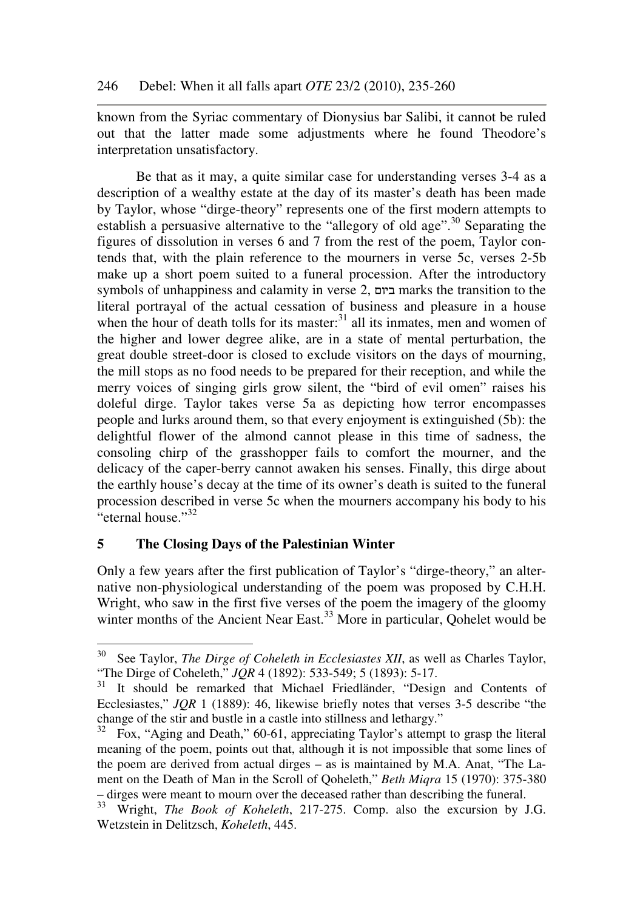known from the Syriac commentary of Dionysius bar Salibi, it cannot be ruled out that the latter made some adjustments where he found Theodore's interpretation unsatisfactory.

Be that as it may, a quite similar case for understanding verses 3-4 as a description of a wealthy estate at the day of its master's death has been made by Taylor, whose "dirge-theory" represents one of the first modern attempts to establish a persuasive alternative to the "allegory of old age".<sup>30</sup> Separating the figures of dissolution in verses 6 and 7 from the rest of the poem, Taylor contends that, with the plain reference to the mourners in verse 5c, verses 2-5b make up a short poem suited to a funeral procession. After the introductory symbols of unhappiness and calamity in verse 2, ביום marks the transition to the literal portrayal of the actual cessation of business and pleasure in a house when the hour of death tolls for its master: $31$  all its inmates, men and women of the higher and lower degree alike, are in a state of mental perturbation, the great double street-door is closed to exclude visitors on the days of mourning, the mill stops as no food needs to be prepared for their reception, and while the merry voices of singing girls grow silent, the "bird of evil omen" raises his doleful dirge. Taylor takes verse 5a as depicting how terror encompasses people and lurks around them, so that every enjoyment is extinguished (5b): the delightful flower of the almond cannot please in this time of sadness, the consoling chirp of the grasshopper fails to comfort the mourner, and the delicacy of the caper-berry cannot awaken his senses. Finally, this dirge about the earthly house's decay at the time of its owner's death is suited to the funeral procession described in verse 5c when the mourners accompany his body to his  $\cdot$ "eternal house."<sup>32</sup>

### **5 The Closing Days of the Palestinian Winter**

Only a few years after the first publication of Taylor's "dirge-theory," an alternative non-physiological understanding of the poem was proposed by C.H.H. Wright, who saw in the first five verses of the poem the imagery of the gloomy winter months of the Ancient Near East.<sup>33</sup> More in particular, Qohelet would be

<sup>30</sup> See Taylor, *The Dirge of Coheleth in Ecclesiastes XII*, as well as Charles Taylor, "The Dirge of Coheleth," *JQR* 4 (1892): 533-549; 5 (1893): 5-17.

<sup>&</sup>lt;sup>31</sup> It should be remarked that Michael Friedländer, "Design and Contents of Ecclesiastes," *JQR* 1 (1889): 46, likewise briefly notes that verses 3-5 describe "the change of the stir and bustle in a castle into stillness and lethargy."

 $32$  Fox, "Aging and Death," 60-61, appreciating Taylor's attempt to grasp the literal meaning of the poem, points out that, although it is not impossible that some lines of the poem are derived from actual dirges – as is maintained by M.A. Anat, "The Lament on the Death of Man in the Scroll of Qoheleth," *Beth Miqra* 15 (1970): 375-380 – dirges were meant to mourn over the deceased rather than describing the funeral.

<sup>&</sup>lt;sup>33</sup> Wright, *The Book of Koheleth*, 217-275. Comp. also the excursion by J.G. Wetzstein in Delitzsch, *Koheleth*, 445.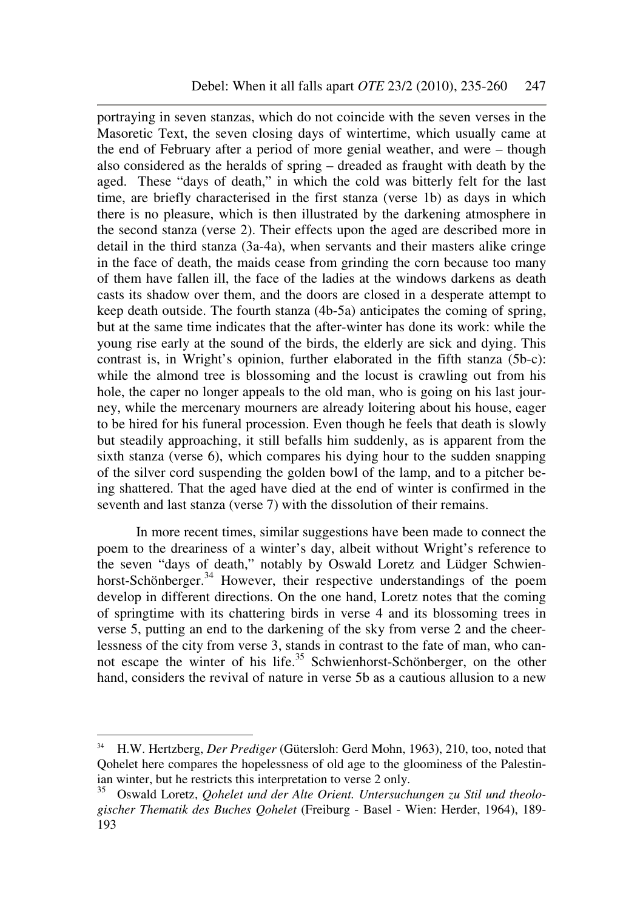portraying in seven stanzas, which do not coincide with the seven verses in the Masoretic Text, the seven closing days of wintertime, which usually came at the end of February after a period of more genial weather, and were – though also considered as the heralds of spring – dreaded as fraught with death by the aged. These "days of death," in which the cold was bitterly felt for the last time, are briefly characterised in the first stanza (verse 1b) as days in which there is no pleasure, which is then illustrated by the darkening atmosphere in the second stanza (verse 2). Their effects upon the aged are described more in detail in the third stanza (3a-4a), when servants and their masters alike cringe in the face of death, the maids cease from grinding the corn because too many of them have fallen ill, the face of the ladies at the windows darkens as death casts its shadow over them, and the doors are closed in a desperate attempt to keep death outside. The fourth stanza (4b-5a) anticipates the coming of spring, but at the same time indicates that the after-winter has done its work: while the young rise early at the sound of the birds, the elderly are sick and dying. This contrast is, in Wright's opinion, further elaborated in the fifth stanza (5b-c): while the almond tree is blossoming and the locust is crawling out from his hole, the caper no longer appeals to the old man, who is going on his last journey, while the mercenary mourners are already loitering about his house, eager to be hired for his funeral procession. Even though he feels that death is slowly but steadily approaching, it still befalls him suddenly, as is apparent from the sixth stanza (verse 6), which compares his dying hour to the sudden snapping of the silver cord suspending the golden bowl of the lamp, and to a pitcher being shattered. That the aged have died at the end of winter is confirmed in the seventh and last stanza (verse 7) with the dissolution of their remains.

In more recent times, similar suggestions have been made to connect the poem to the dreariness of a winter's day, albeit without Wright's reference to the seven "days of death," notably by Oswald Loretz and Lüdger Schwienhorst-Schönberger.<sup>34</sup> However, their respective understandings of the poem develop in different directions. On the one hand, Loretz notes that the coming of springtime with its chattering birds in verse 4 and its blossoming trees in verse 5, putting an end to the darkening of the sky from verse 2 and the cheerlessness of the city from verse 3, stands in contrast to the fate of man, who cannot escape the winter of his life.<sup>35</sup> Schwienhorst-Schönberger, on the other hand, considers the revival of nature in verse 5b as a cautious allusion to a new

<sup>34</sup> <sup>34</sup> H.W. Hertzberg, *Der Prediger* (Gütersloh: Gerd Mohn, 1963), 210, too, noted that Qohelet here compares the hopelessness of old age to the gloominess of the Palestinian winter, but he restricts this interpretation to verse 2 only.

<sup>35</sup> Oswald Loretz, *Qohelet und der Alte Orient. Untersuchungen zu Stil und theologischer Thematik des Buches Qohelet* (Freiburg - Basel - Wien: Herder, 1964), 189- 193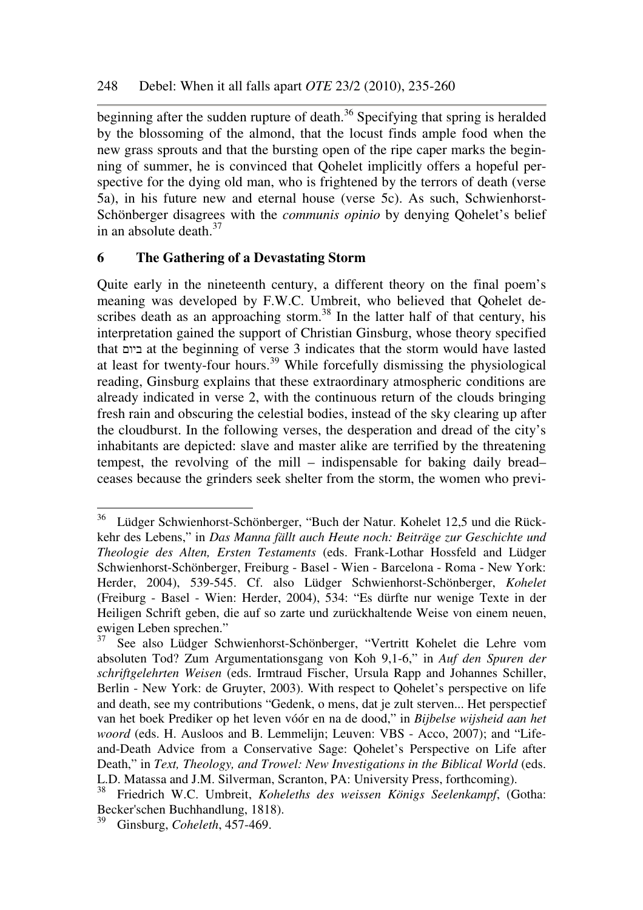beginning after the sudden rupture of death.<sup>36</sup> Specifying that spring is heralded by the blossoming of the almond, that the locust finds ample food when the new grass sprouts and that the bursting open of the ripe caper marks the beginning of summer, he is convinced that Qohelet implicitly offers a hopeful perspective for the dying old man, who is frightened by the terrors of death (verse 5a), in his future new and eternal house (verse 5c). As such, Schwienhorst-Schönberger disagrees with the *communis opinio* by denying Qohelet's belief in an absolute death.<sup>37</sup>

## **6 The Gathering of a Devastating Storm**

Quite early in the nineteenth century, a different theory on the final poem's meaning was developed by F.W.C. Umbreit, who believed that Qohelet describes death as an approaching storm.<sup>38</sup> In the latter half of that century, his interpretation gained the support of Christian Ginsburg, whose theory specified that ביום at the beginning of verse 3 indicates that the storm would have lasted at least for twenty-four hours.<sup>39</sup> While forcefully dismissing the physiological reading, Ginsburg explains that these extraordinary atmospheric conditions are already indicated in verse 2, with the continuous return of the clouds bringing fresh rain and obscuring the celestial bodies, instead of the sky clearing up after the cloudburst. In the following verses, the desperation and dread of the city's inhabitants are depicted: slave and master alike are terrified by the threatening tempest, the revolving of the mill – indispensable for baking daily bread– ceases because the grinders seek shelter from the storm, the women who previ-

<sup>&</sup>lt;sup>36</sup> Lüdger Schwienhorst-Schönberger, "Buch der Natur. Kohelet 12,5 und die Rückkehr des Lebens," in *Das Manna fällt auch Heute noch: Beiträge zur Geschichte und Theologie des Alten, Ersten Testaments* (eds. Frank-Lothar Hossfeld and Lüdger Schwienhorst-Schönberger, Freiburg - Basel - Wien - Barcelona - Roma - New York: Herder, 2004), 539-545. Cf. also Lüdger Schwienhorst-Schönberger, *Kohelet*  (Freiburg - Basel - Wien: Herder, 2004), 534: "Es dürfte nur wenige Texte in der Heiligen Schrift geben, die auf so zarte und zurückhaltende Weise von einem neuen, ewigen Leben sprechen."

<sup>&</sup>lt;sup>37</sup> See also Lüdger Schwienhorst-Schönberger, "Vertritt Kohelet die Lehre vom absoluten Tod? Zum Argumentationsgang von Koh 9,1-6," in *Auf den Spuren der schriftgelehrten Weisen* (eds. Irmtraud Fischer, Ursula Rapp and Johannes Schiller, Berlin - New York: de Gruyter, 2003). With respect to Qohelet's perspective on life and death, see my contributions "Gedenk, o mens, dat je zult sterven... Het perspectief van het boek Prediker op het leven vóór en na de dood," in *Bijbelse wijsheid aan het woord* (eds. H. Ausloos and B. Lemmelijn; Leuven: VBS - Acco, 2007); and "Lifeand-Death Advice from a Conservative Sage: Qohelet's Perspective on Life after Death," in *Text, Theology, and Trowel: New Investigations in the Biblical World* (eds. L.D. Matassa and J.M. Silverman, Scranton, PA: University Press, forthcoming).<br><sup>38</sup> Eriodrich W.C. Umbreit, Koheleths des weissen Königs Seelenkannt (G

<sup>38</sup> Friedrich W.C. Umbreit, *Koheleths des weissen Königs Seelenkampf*, (Gotha: Becker'schen Buchhandlung, 1818).

<sup>39</sup> Ginsburg, *Coheleth*, 457-469.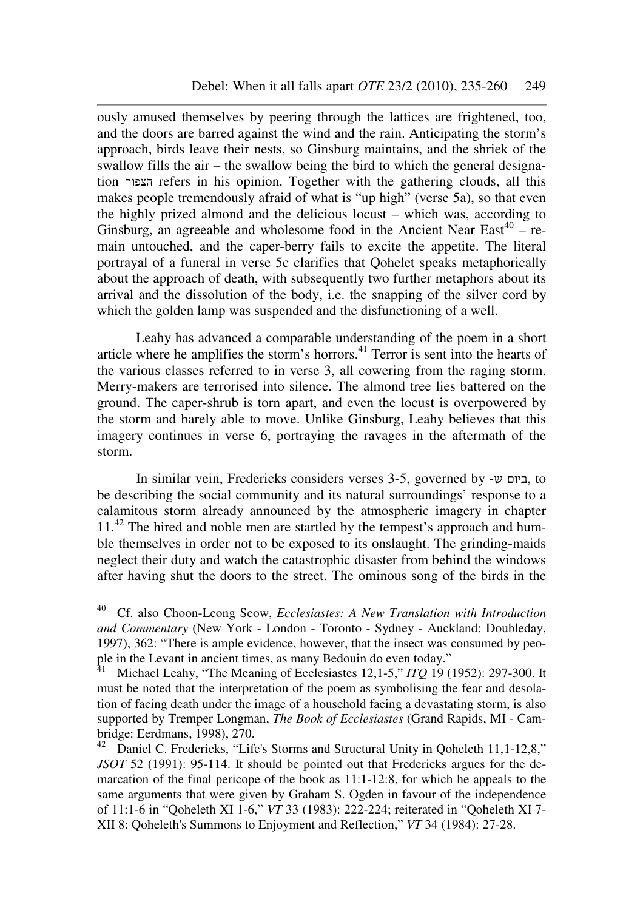ously amused themselves by peering through the lattices are frightened, too, and the doors are barred against the wind and the rain. Anticipating the storm's approach, birds leave their nests, so Ginsburg maintains, and the shriek of the swallow fills the air – the swallow being the bird to which the general designation הצפור refers in his opinion. Together with the gathering clouds, all this makes people tremendously afraid of what is "up high" (verse 5a), so that even the highly prized almond and the delicious locust – which was, according to Ginsburg, an agreeable and wholesome food in the Ancient Near East<sup>40</sup> – remain untouched, and the caper-berry fails to excite the appetite. The literal portrayal of a funeral in verse 5c clarifies that Qohelet speaks metaphorically about the approach of death, with subsequently two further metaphors about its arrival and the dissolution of the body, i.e. the snapping of the silver cord by which the golden lamp was suspended and the disfunctioning of a well.

Leahy has advanced a comparable understanding of the poem in a short article where he amplifies the storm's horrors.<sup>41</sup> Terror is sent into the hearts of the various classes referred to in verse 3, all cowering from the raging storm. Merry-makers are terrorised into silence. The almond tree lies battered on the ground. The caper-shrub is torn apart, and even the locust is overpowered by the storm and barely able to move. Unlike Ginsburg, Leahy believes that this imagery continues in verse 6, portraying the ravages in the aftermath of the storm.

In similar vein, Fredericks considers verses 3-5, governed by -ש ביום, to be describing the social community and its natural surroundings' response to a calamitous storm already announced by the atmospheric imagery in chapter 11<sup>.42</sup> The hired and noble men are startled by the tempest's approach and humble themselves in order not to be exposed to its onslaught. The grinding-maids neglect their duty and watch the catastrophic disaster from behind the windows after having shut the doors to the street. The ominous song of the birds in the

<sup>40</sup> <sup>40</sup> Cf. also Choon-Leong Seow, *Ecclesiastes: A New Translation with Introduction and Commentary* (New York - London - Toronto - Sydney - Auckland: Doubleday, 1997), 362: "There is ample evidence, however, that the insect was consumed by people in the Levant in ancient times, as many Bedouin do even today."

<sup>41</sup> Michael Leahy, "The Meaning of Ecclesiastes 12,1-5," *ITQ* 19 (1952): 297-300. It must be noted that the interpretation of the poem as symbolising the fear and desolation of facing death under the image of a household facing a devastating storm, is also supported by Tremper Longman, *The Book of Ecclesiastes* (Grand Rapids, MI - Cambridge: Eerdmans, 1998), 270.

Daniel C. Fredericks, "Life's Storms and Structural Unity in Qoheleth 11,1-12,8," *JSOT* 52 (1991): 95-114. It should be pointed out that Fredericks argues for the demarcation of the final pericope of the book as 11:1-12:8, for which he appeals to the same arguments that were given by Graham S. Ogden in favour of the independence of 11:1-6 in "Qoheleth XI 1-6," *VT* 33 (1983): 222-224; reiterated in "Qoheleth XI 7- XII 8: Qoheleth's Summons to Enjoyment and Reflection," *VT* 34 (1984): 27-28.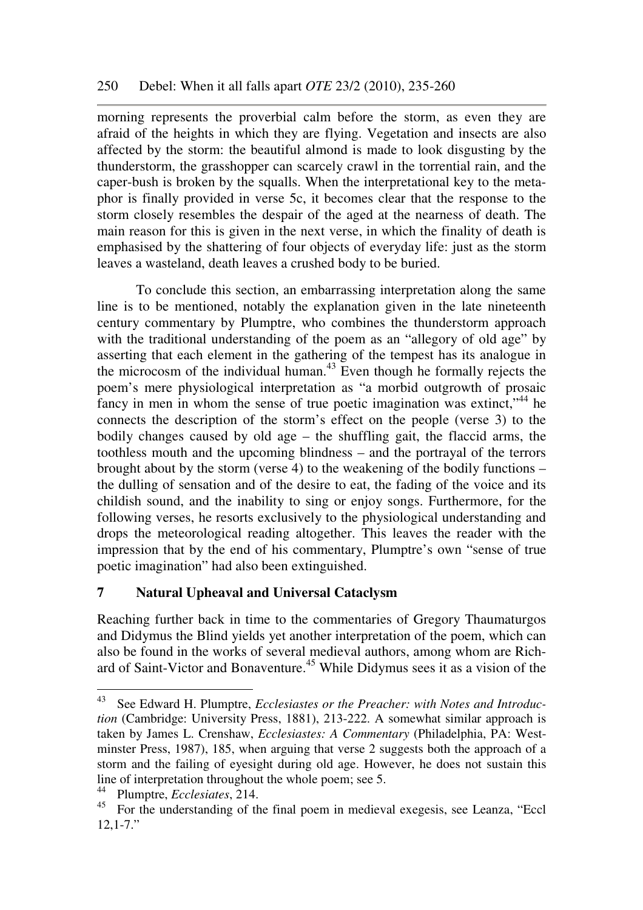morning represents the proverbial calm before the storm, as even they are afraid of the heights in which they are flying. Vegetation and insects are also affected by the storm: the beautiful almond is made to look disgusting by the thunderstorm, the grasshopper can scarcely crawl in the torrential rain, and the caper-bush is broken by the squalls. When the interpretational key to the metaphor is finally provided in verse 5c, it becomes clear that the response to the storm closely resembles the despair of the aged at the nearness of death. The main reason for this is given in the next verse, in which the finality of death is emphasised by the shattering of four objects of everyday life: just as the storm leaves a wasteland, death leaves a crushed body to be buried.

To conclude this section, an embarrassing interpretation along the same line is to be mentioned, notably the explanation given in the late nineteenth century commentary by Plumptre, who combines the thunderstorm approach with the traditional understanding of the poem as an "allegory of old age" by asserting that each element in the gathering of the tempest has its analogue in the microcosm of the individual human.<sup>43</sup> Even though he formally rejects the poem's mere physiological interpretation as "a morbid outgrowth of prosaic fancy in men in whom the sense of true poetic imagination was extinct,"<sup>44</sup> he connects the description of the storm's effect on the people (verse 3) to the bodily changes caused by old age – the shuffling gait, the flaccid arms, the toothless mouth and the upcoming blindness – and the portrayal of the terrors brought about by the storm (verse 4) to the weakening of the bodily functions – the dulling of sensation and of the desire to eat, the fading of the voice and its childish sound, and the inability to sing or enjoy songs. Furthermore, for the following verses, he resorts exclusively to the physiological understanding and drops the meteorological reading altogether. This leaves the reader with the impression that by the end of his commentary, Plumptre's own "sense of true poetic imagination" had also been extinguished.

## **7 Natural Upheaval and Universal Cataclysm**

Reaching further back in time to the commentaries of Gregory Thaumaturgos and Didymus the Blind yields yet another interpretation of the poem, which can also be found in the works of several medieval authors, among whom are Richard of Saint-Victor and Bonaventure.<sup>45</sup> While Didymus sees it as a vision of the

<sup>43</sup> See Edward H. Plumptre, *Ecclesiastes or the Preacher: with Notes and Introduction* (Cambridge: University Press, 1881), 213-222. A somewhat similar approach is taken by James L. Crenshaw, *Ecclesiastes: A Commentary* (Philadelphia, PA: Westminster Press, 1987), 185, when arguing that verse 2 suggests both the approach of a storm and the failing of eyesight during old age. However, he does not sustain this line of interpretation throughout the whole poem; see 5.

<sup>&</sup>lt;sup>44</sup> Plumptre, *Ecclesiates*, 214.

<sup>45</sup> For the understanding of the final poem in medieval exegesis, see Leanza, "Eccl  $12.1 - 7.$ "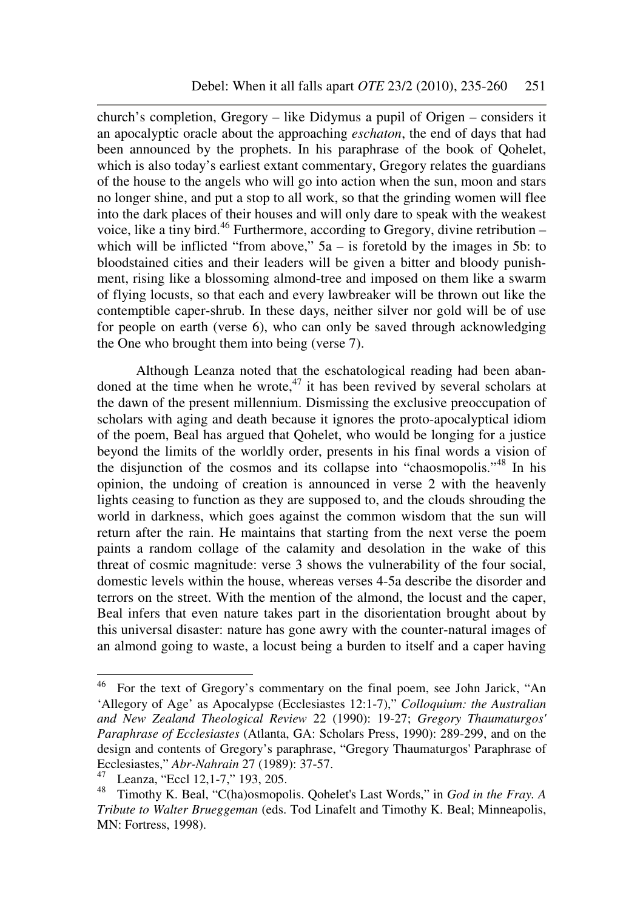church's completion, Gregory – like Didymus a pupil of Origen – considers it an apocalyptic oracle about the approaching *eschaton*, the end of days that had been announced by the prophets. In his paraphrase of the book of Qohelet, which is also today's earliest extant commentary, Gregory relates the guardians of the house to the angels who will go into action when the sun, moon and stars no longer shine, and put a stop to all work, so that the grinding women will flee into the dark places of their houses and will only dare to speak with the weakest voice, like a tiny bird.<sup>46</sup> Furthermore, according to Gregory, divine retribution – which will be inflicted "from above,"  $5a - is$  foretold by the images in 5b: to bloodstained cities and their leaders will be given a bitter and bloody punishment, rising like a blossoming almond-tree and imposed on them like a swarm of flying locusts, so that each and every lawbreaker will be thrown out like the contemptible caper-shrub. In these days, neither silver nor gold will be of use for people on earth (verse 6), who can only be saved through acknowledging the One who brought them into being (verse 7).

Although Leanza noted that the eschatological reading had been abandoned at the time when he wrote, $47$  it has been revived by several scholars at the dawn of the present millennium. Dismissing the exclusive preoccupation of scholars with aging and death because it ignores the proto-apocalyptical idiom of the poem, Beal has argued that Qohelet, who would be longing for a justice beyond the limits of the worldly order, presents in his final words a vision of the disjunction of the cosmos and its collapse into "chaosmopolis."<sup>48</sup> In his opinion, the undoing of creation is announced in verse 2 with the heavenly lights ceasing to function as they are supposed to, and the clouds shrouding the world in darkness, which goes against the common wisdom that the sun will return after the rain. He maintains that starting from the next verse the poem paints a random collage of the calamity and desolation in the wake of this threat of cosmic magnitude: verse 3 shows the vulnerability of the four social, domestic levels within the house, whereas verses 4-5a describe the disorder and terrors on the street. With the mention of the almond, the locust and the caper, Beal infers that even nature takes part in the disorientation brought about by this universal disaster: nature has gone awry with the counter-natural images of an almond going to waste, a locust being a burden to itself and a caper having

 $46\,$ <sup>46</sup> For the text of Gregory's commentary on the final poem, see John Jarick, "An 'Allegory of Age' as Apocalypse (Ecclesiastes 12:1-7)," *Colloquium: the Australian and New Zealand Theological Review* 22 (1990): 19-27; *Gregory Thaumaturgos' Paraphrase of Ecclesiastes* (Atlanta, GA: Scholars Press, 1990): 289-299, and on the design and contents of Gregory's paraphrase, "Gregory Thaumaturgos' Paraphrase of Ecclesiastes," *Abr-Nahrain* 27 (1989): 37-57.

<sup>47</sup> Leanza, "Eccl 12,1-7," 193, 205.

<sup>48</sup> Timothy K. Beal, "C(ha)osmopolis. Qohelet's Last Words," in *God in the Fray. A Tribute to Walter Brueggeman* (eds. Tod Linafelt and Timothy K. Beal; Minneapolis, MN: Fortress, 1998).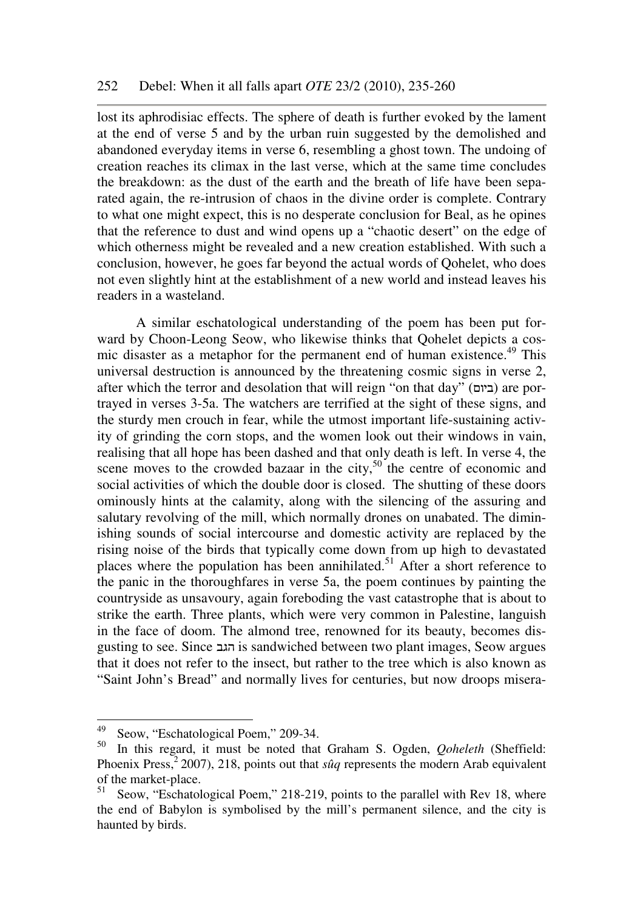lost its aphrodisiac effects. The sphere of death is further evoked by the lament at the end of verse 5 and by the urban ruin suggested by the demolished and abandoned everyday items in verse 6, resembling a ghost town. The undoing of creation reaches its climax in the last verse, which at the same time concludes the breakdown: as the dust of the earth and the breath of life have been separated again, the re-intrusion of chaos in the divine order is complete. Contrary to what one might expect, this is no desperate conclusion for Beal, as he opines that the reference to dust and wind opens up a "chaotic desert" on the edge of which otherness might be revealed and a new creation established. With such a conclusion, however, he goes far beyond the actual words of Qohelet, who does not even slightly hint at the establishment of a new world and instead leaves his readers in a wasteland.

A similar eschatological understanding of the poem has been put forward by Choon-Leong Seow, who likewise thinks that Qohelet depicts a cosmic disaster as a metaphor for the permanent end of human existence.<sup>49</sup> This universal destruction is announced by the threatening cosmic signs in verse 2, after which the terror and desolation that will reign "on that day" (ביום) are portrayed in verses 3-5a. The watchers are terrified at the sight of these signs, and the sturdy men crouch in fear, while the utmost important life-sustaining activity of grinding the corn stops, and the women look out their windows in vain, realising that all hope has been dashed and that only death is left. In verse 4, the scene moves to the crowded bazaar in the city, $50$  the centre of economic and social activities of which the double door is closed. The shutting of these doors ominously hints at the calamity, along with the silencing of the assuring and salutary revolving of the mill, which normally drones on unabated. The diminishing sounds of social intercourse and domestic activity are replaced by the rising noise of the birds that typically come down from up high to devastated places where the population has been annihilated.<sup>51</sup> After a short reference to the panic in the thoroughfares in verse 5a, the poem continues by painting the countryside as unsavoury, again foreboding the vast catastrophe that is about to strike the earth. Three plants, which were very common in Palestine, languish in the face of doom. The almond tree, renowned for its beauty, becomes disgusting to see. Since הגב is sandwiched between two plant images, Seow argues that it does not refer to the insect, but rather to the tree which is also known as "Saint John's Bread" and normally lives for centuries, but now droops misera-

<sup>49</sup>  $^{49}$  Seow, "Eschatological Poem," 209-34.

<sup>50</sup> In this regard, it must be noted that Graham S. Ogden, *Qoheleth* (Sheffield: Phoenix Press,<sup>2</sup> 2007), 218, points out that *sûg* represents the modern Arab equivalent of the market-place.

Seow, "Eschatological Poem," 218-219, points to the parallel with Rev 18, where the end of Babylon is symbolised by the mill's permanent silence, and the city is haunted by birds.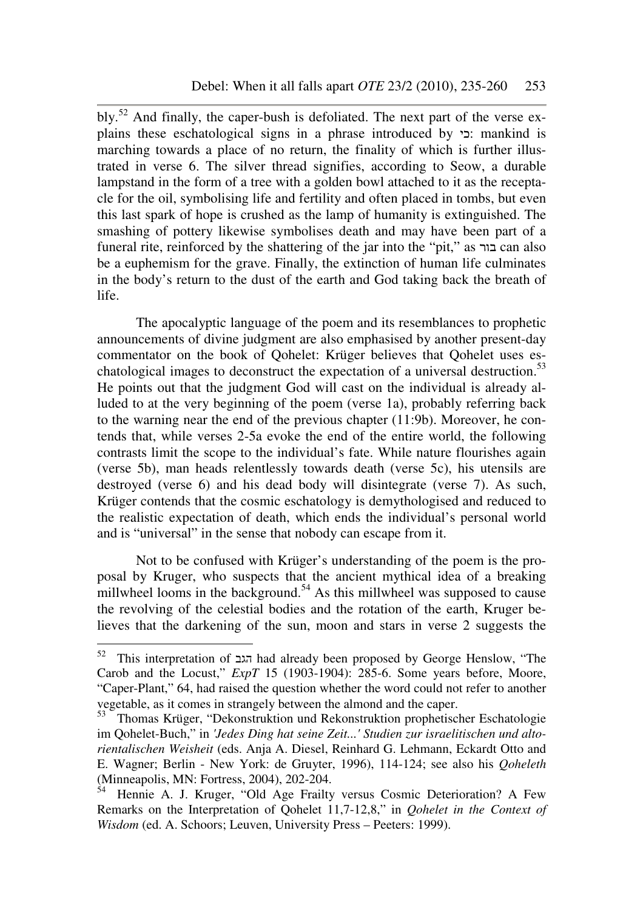bly.<sup>52</sup> And finally, the caper-bush is defoliated. The next part of the verse explains these eschatological signs in a phrase introduced by כי: mankind is marching towards a place of no return, the finality of which is further illustrated in verse 6. The silver thread signifies, according to Seow, a durable lampstand in the form of a tree with a golden bowl attached to it as the receptacle for the oil, symbolising life and fertility and often placed in tombs, but even this last spark of hope is crushed as the lamp of humanity is extinguished. The smashing of pottery likewise symbolises death and may have been part of a funeral rite, reinforced by the shattering of the jar into the "pit," as בור can also be a euphemism for the grave. Finally, the extinction of human life culminates in the body's return to the dust of the earth and God taking back the breath of life.

The apocalyptic language of the poem and its resemblances to prophetic announcements of divine judgment are also emphasised by another present-day commentator on the book of Qohelet: Krüger believes that Qohelet uses eschatological images to deconstruct the expectation of a universal destruction.<sup>53</sup> He points out that the judgment God will cast on the individual is already alluded to at the very beginning of the poem (verse 1a), probably referring back to the warning near the end of the previous chapter (11:9b). Moreover, he contends that, while verses 2-5a evoke the end of the entire world, the following contrasts limit the scope to the individual's fate. While nature flourishes again (verse 5b), man heads relentlessly towards death (verse 5c), his utensils are destroyed (verse 6) and his dead body will disintegrate (verse 7). As such, Krüger contends that the cosmic eschatology is demythologised and reduced to the realistic expectation of death, which ends the individual's personal world and is "universal" in the sense that nobody can escape from it.

Not to be confused with Krüger's understanding of the poem is the proposal by Kruger, who suspects that the ancient mythical idea of a breaking millwheel looms in the background.<sup>54</sup> As this millwheel was supposed to cause the revolving of the celestial bodies and the rotation of the earth, Kruger believes that the darkening of the sun, moon and stars in verse 2 suggests the

<sup>52</sup> <sup>52</sup> This interpretation of הגב had already been proposed by George Henslow, "The Carob and the Locust," *ExpT* 15 (1903-1904): 285-6. Some years before, Moore, "Caper-Plant," 64, had raised the question whether the word could not refer to another vegetable, as it comes in strangely between the almond and the caper.

<sup>53</sup> Thomas Krüger, "Dekonstruktion und Rekonstruktion prophetischer Eschatologie im Qohelet-Buch," in *'Jedes Ding hat seine Zeit...' Studien zur israelitischen und altorientalischen Weisheit* (eds. Anja A. Diesel, Reinhard G. Lehmann, Eckardt Otto and E. Wagner; Berlin - New York: de Gruyter, 1996), 114-124; see also his *Qoheleth* (Minneapolis, MN: Fortress, 2004), 202-204.

<sup>54</sup> Hennie A. J. Kruger, "Old Age Frailty versus Cosmic Deterioration? A Few Remarks on the Interpretation of Qohelet 11,7-12,8," in *Qohelet in the Context of Wisdom* (ed. A. Schoors; Leuven, University Press – Peeters: 1999).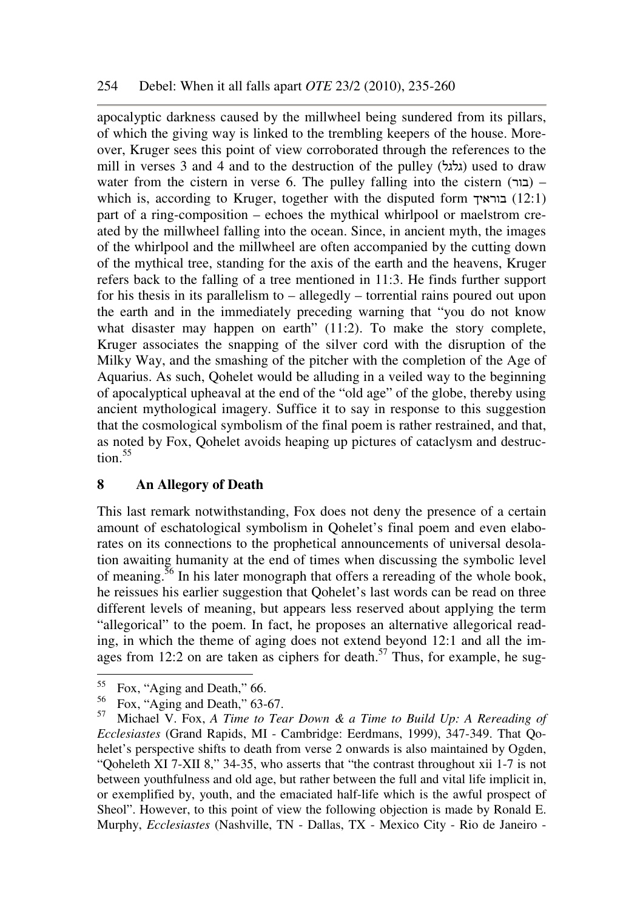apocalyptic darkness caused by the millwheel being sundered from its pillars, of which the giving way is linked to the trembling keepers of the house. Moreover, Kruger sees this point of view corroborated through the references to the mill in verses 3 and 4 and to the destruction of the pulley (גלגל) used to draw water from the cistern in verse 6. The pulley falling into the cistern  $(\Box)$  – which is, according to Kruger, together with the disputed form  $(12:1)$ part of a ring-composition – echoes the mythical whirlpool or maelstrom created by the millwheel falling into the ocean. Since, in ancient myth, the images of the whirlpool and the millwheel are often accompanied by the cutting down of the mythical tree, standing for the axis of the earth and the heavens, Kruger refers back to the falling of a tree mentioned in 11:3. He finds further support for his thesis in its parallelism to – allegedly – torrential rains poured out upon the earth and in the immediately preceding warning that "you do not know what disaster may happen on earth" (11:2). To make the story complete, Kruger associates the snapping of the silver cord with the disruption of the Milky Way, and the smashing of the pitcher with the completion of the Age of Aquarius. As such, Qohelet would be alluding in a veiled way to the beginning of apocalyptical upheaval at the end of the "old age" of the globe, thereby using ancient mythological imagery. Suffice it to say in response to this suggestion that the cosmological symbolism of the final poem is rather restrained, and that, as noted by Fox, Qohelet avoids heaping up pictures of cataclysm and destruc- $\text{tion.}^{55}$ 

## **8 An Allegory of Death**

This last remark notwithstanding, Fox does not deny the presence of a certain amount of eschatological symbolism in Qohelet's final poem and even elaborates on its connections to the prophetical announcements of universal desolation awaiting humanity at the end of times when discussing the symbolic level of meaning.<sup>56</sup> In his later monograph that offers a rereading of the whole book, he reissues his earlier suggestion that Qohelet's last words can be read on three different levels of meaning, but appears less reserved about applying the term "allegorical" to the poem. In fact, he proposes an alternative allegorical reading, in which the theme of aging does not extend beyond 12:1 and all the images from 12:2 on are taken as ciphers for death.<sup>57</sup> Thus, for example, he sug-

<sup>55</sup>  $^{55}$  Fox, "Aging and Death," 66.<br> $^{56}$  Fox, "Aging and Doath" 63.

 $^{56}$  Fox, "Aging and Death," 63-67.

<sup>57</sup> Michael V. Fox, *A Time to Tear Down & a Time to Build Up: A Rereading of Ecclesiastes* (Grand Rapids, MI - Cambridge: Eerdmans, 1999), 347-349. That Qohelet's perspective shifts to death from verse 2 onwards is also maintained by Ogden, "Qoheleth XI 7-XII 8," 34-35, who asserts that "the contrast throughout xii 1-7 is not between youthfulness and old age, but rather between the full and vital life implicit in, or exemplified by, youth, and the emaciated half-life which is the awful prospect of Sheol". However, to this point of view the following objection is made by Ronald E. Murphy, *Ecclesiastes* (Nashville, TN - Dallas, TX - Mexico City - Rio de Janeiro -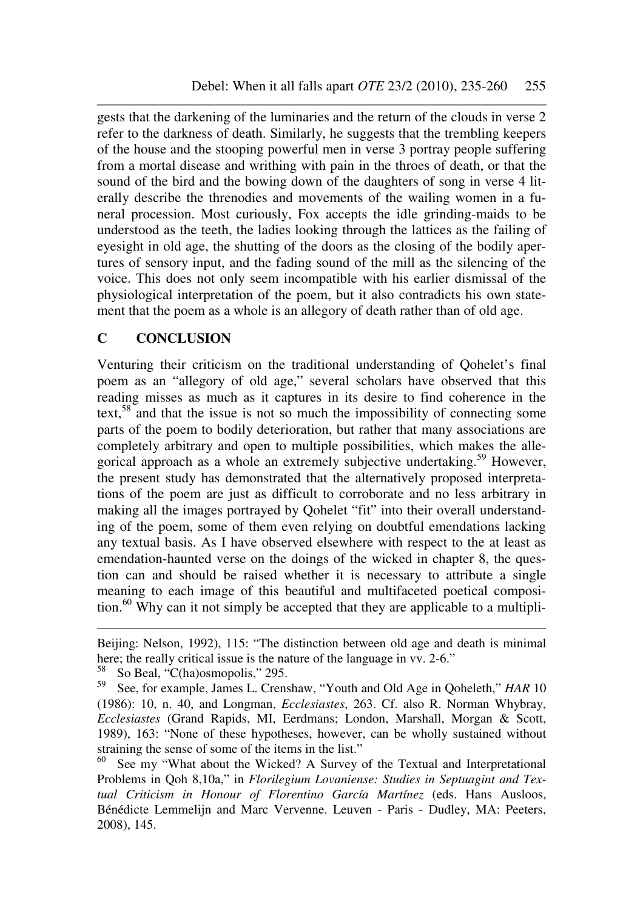gests that the darkening of the luminaries and the return of the clouds in verse 2 refer to the darkness of death. Similarly, he suggests that the trembling keepers of the house and the stooping powerful men in verse 3 portray people suffering from a mortal disease and writhing with pain in the throes of death, or that the sound of the bird and the bowing down of the daughters of song in verse 4 literally describe the threnodies and movements of the wailing women in a funeral procession. Most curiously, Fox accepts the idle grinding-maids to be understood as the teeth, the ladies looking through the lattices as the failing of eyesight in old age, the shutting of the doors as the closing of the bodily apertures of sensory input, and the fading sound of the mill as the silencing of the voice. This does not only seem incompatible with his earlier dismissal of the physiological interpretation of the poem, but it also contradicts his own statement that the poem as a whole is an allegory of death rather than of old age.

## **C CONCLUSION**

Venturing their criticism on the traditional understanding of Qohelet's final poem as an "allegory of old age," several scholars have observed that this reading misses as much as it captures in its desire to find coherence in the text,<sup>58</sup> and that the issue is not so much the impossibility of connecting some parts of the poem to bodily deterioration, but rather that many associations are completely arbitrary and open to multiple possibilities, which makes the allegorical approach as a whole an extremely subjective undertaking.<sup>59</sup> However, the present study has demonstrated that the alternatively proposed interpretations of the poem are just as difficult to corroborate and no less arbitrary in making all the images portrayed by Qohelet "fit" into their overall understanding of the poem, some of them even relying on doubtful emendations lacking any textual basis. As I have observed elsewhere with respect to the at least as emendation-haunted verse on the doings of the wicked in chapter 8, the question can and should be raised whether it is necessary to attribute a single meaning to each image of this beautiful and multifaceted poetical composition.<sup>60</sup> Why can it not simply be accepted that they are applicable to a multipli-

Beijing: Nelson, 1992), 115: "The distinction between old age and death is minimal here; the really critical issue is the nature of the language in vv. 2-6."<br> $58 \text{ S} \Omega_{\text{Q}} \text{Pa}^{-1}$  "C(ha)osmonolis" 205

So Beal, "C(ha)osmopolis," 295.

<sup>59</sup> See, for example, James L. Crenshaw, "Youth and Old Age in Qoheleth," *HAR* 10 (1986): 10, n. 40, and Longman, *Ecclesiastes*, 263. Cf. also R. Norman Whybray, *Ecclesiastes* (Grand Rapids, MI, Eerdmans; London, Marshall, Morgan & Scott, 1989), 163: "None of these hypotheses, however, can be wholly sustained without straining the sense of some of the items in the list."

See my "What about the Wicked? A Survey of the Textual and Interpretational Problems in Qoh 8,10a," in *Florilegium Lovaniense: Studies in Septuagint and Textual Criticism in Honour of Florentino García Martínez* (eds. Hans Ausloos, Bénédicte Lemmelijn and Marc Vervenne. Leuven - Paris - Dudley, MA: Peeters, 2008), 145.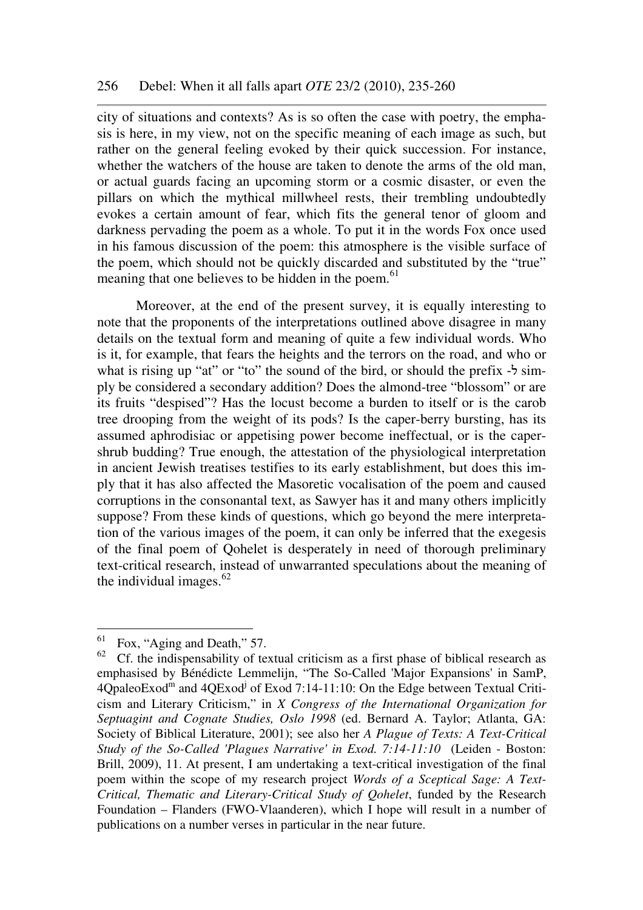city of situations and contexts? As is so often the case with poetry, the emphasis is here, in my view, not on the specific meaning of each image as such, but rather on the general feeling evoked by their quick succession. For instance, whether the watchers of the house are taken to denote the arms of the old man, or actual guards facing an upcoming storm or a cosmic disaster, or even the pillars on which the mythical millwheel rests, their trembling undoubtedly evokes a certain amount of fear, which fits the general tenor of gloom and darkness pervading the poem as a whole. To put it in the words Fox once used in his famous discussion of the poem: this atmosphere is the visible surface of the poem, which should not be quickly discarded and substituted by the "true" meaning that one believes to be hidden in the poem. $61$ 

Moreover, at the end of the present survey, it is equally interesting to note that the proponents of the interpretations outlined above disagree in many details on the textual form and meaning of quite a few individual words. Who is it, for example, that fears the heights and the terrors on the road, and who or what is rising up "at" or "to" the sound of the bird, or should the prefix  $-5 \text{ sim}$ ply be considered a secondary addition? Does the almond-tree "blossom" or are its fruits "despised"? Has the locust become a burden to itself or is the carob tree drooping from the weight of its pods? Is the caper-berry bursting, has its assumed aphrodisiac or appetising power become ineffectual, or is the capershrub budding? True enough, the attestation of the physiological interpretation in ancient Jewish treatises testifies to its early establishment, but does this imply that it has also affected the Masoretic vocalisation of the poem and caused corruptions in the consonantal text, as Sawyer has it and many others implicitly suppose? From these kinds of questions, which go beyond the mere interpretation of the various images of the poem, it can only be inferred that the exegesis of the final poem of Qohelet is desperately in need of thorough preliminary text-critical research, instead of unwarranted speculations about the meaning of the individual images. $62$ 

 $61$  Fox, "Aging and Death," 57.

 $62$  Cf. the indispensability of textual criticism as a first phase of biblical research as emphasised by Bénédicte Lemmelijn, "The So-Called 'Major Expansions' in SamP,  $4Q$ paleoExod<sup>m</sup> and  $4Q$ Exod<sup>j</sup> of Exod 7:14-11:10: On the Edge between Textual Criticism and Literary Criticism," in *X Congress of the International Organization for Septuagint and Cognate Studies, Oslo 1998* (ed. Bernard A. Taylor; Atlanta, GA: Society of Biblical Literature, 2001); see also her *A Plague of Texts: A Text-Critical Study of the So-Called 'Plagues Narrative' in Exod. 7:14-11:10* (Leiden - Boston: Brill, 2009), 11. At present, I am undertaking a text-critical investigation of the final poem within the scope of my research project *Words of a Sceptical Sage: A Text-Critical, Thematic and Literary-Critical Study of Qohelet*, funded by the Research Foundation – Flanders (FWO-Vlaanderen), which I hope will result in a number of publications on a number verses in particular in the near future.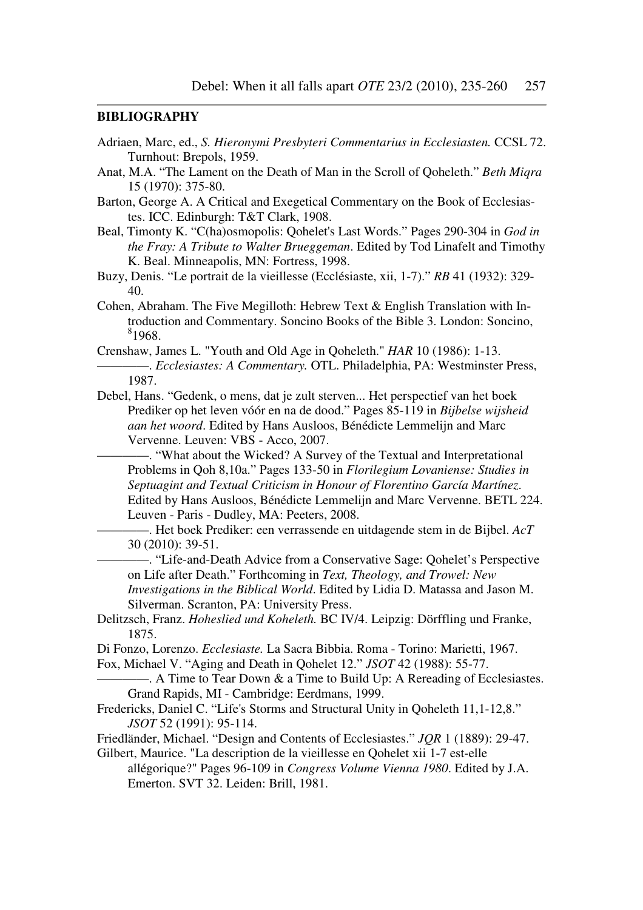#### **BIBLIOGRAPHY**

- Adriaen, Marc, ed., *S. Hieronymi Presbyteri Commentarius in Ecclesiasten.* CCSL 72. Turnhout: Brepols, 1959.
- Anat, M.A. "The Lament on the Death of Man in the Scroll of Qoheleth." *Beth Miqra* 15 (1970): 375-80.
- Barton, George A. A Critical and Exegetical Commentary on the Book of Ecclesiastes. ICC. Edinburgh: T&T Clark, 1908.
- Beal, Timonty K. "C(ha)osmopolis: Qohelet's Last Words." Pages 290-304 in *God in the Fray: A Tribute to Walter Brueggeman*. Edited by Tod Linafelt and Timothy K. Beal. Minneapolis, MN: Fortress, 1998.
- Buzy, Denis. "Le portrait de la vieillesse (Ecclésiaste, xii, 1-7)." *RB* 41 (1932): 329- 40.
- Cohen, Abraham. The Five Megilloth: Hebrew Text & English Translation with Introduction and Commentary. Soncino Books of the Bible 3. London: Soncino,  $81968.$
- Crenshaw, James L. "Youth and Old Age in Qoheleth." *HAR* 10 (1986): 1-13. ————. *Ecclesiastes: A Commentary.* OTL. Philadelphia, PA: Westminster Press, 1987.
- Debel, Hans. "Gedenk, o mens, dat je zult sterven... Het perspectief van het boek Prediker op het leven vóór en na de dood." Pages 85-119 in *Bijbelse wijsheid aan het woord*. Edited by Hans Ausloos, Bénédicte Lemmelijn and Marc Vervenne. Leuven: VBS - Acco, 2007.
	- -. "What about the Wicked? A Survey of the Textual and Interpretational Problems in Qoh 8,10a." Pages 133-50 in *Florilegium Lovaniense: Studies in Septuagint and Textual Criticism in Honour of Florentino García Martínez*. Edited by Hans Ausloos, Bénédicte Lemmelijn and Marc Vervenne. BETL 224. Leuven - Paris - Dudley, MA: Peeters, 2008.
	- ————. Het boek Prediker: een verrassende en uitdagende stem in de Bijbel. *AcT* 30 (2010): 39-51.
	- ————. "Life-and-Death Advice from a Conservative Sage: Qohelet's Perspective on Life after Death." Forthcoming in *Text, Theology, and Trowel: New Investigations in the Biblical World*. Edited by Lidia D. Matassa and Jason M. Silverman. Scranton, PA: University Press.
- Delitzsch, Franz. *Hoheslied und Koheleth.* BC IV/4. Leipzig: Dörffling und Franke, 1875.
- Di Fonzo, Lorenzo. *Ecclesiaste.* La Sacra Bibbia. Roma Torino: Marietti, 1967.
- Fox, Michael V. "Aging and Death in Qohelet 12." *JSOT* 42 (1988): 55-77.
- $-$ . A Time to Tear Down & a Time to Build Up: A Rereading of Ecclesiastes. Grand Rapids, MI - Cambridge: Eerdmans, 1999.
- Fredericks, Daniel C. "Life's Storms and Structural Unity in Qoheleth 11,1-12,8." *JSOT* 52 (1991): 95-114.
- Friedländer, Michael. "Design and Contents of Ecclesiastes." *JQR* 1 (1889): 29-47.
- Gilbert, Maurice. "La description de la vieillesse en Qohelet xii 1-7 est-elle
	- allégorique?" Pages 96-109 in *Congress Volume Vienna 1980*. Edited by J.A. Emerton. SVT 32. Leiden: Brill, 1981.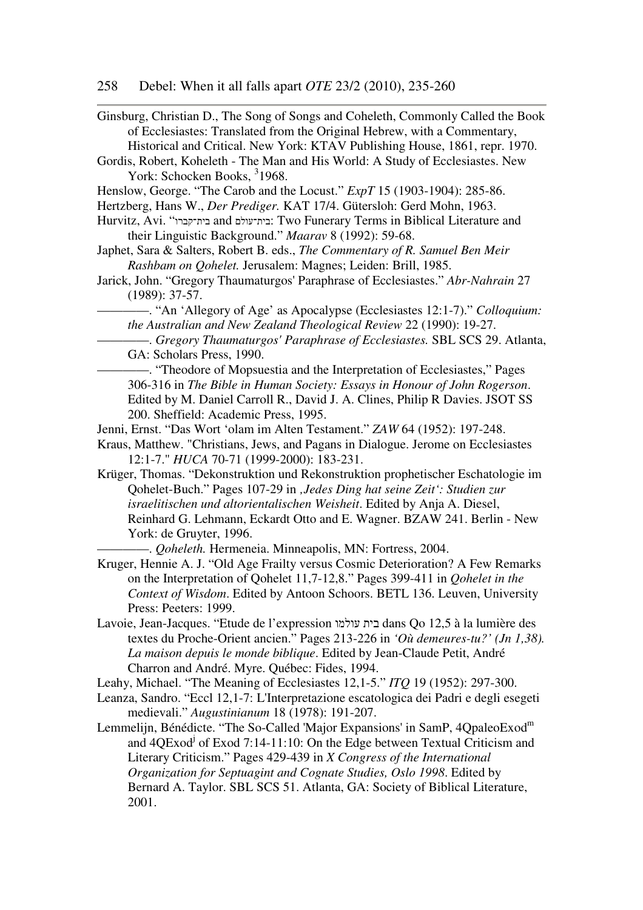- Ginsburg, Christian D., The Song of Songs and Coheleth, Commonly Called the Book of Ecclesiastes: Translated from the Original Hebrew, with a Commentary, Historical and Critical. New York: KTAV Publishing House, 1861, repr. 1970.
- Gordis, Robert, Koheleth The Man and His World: A Study of Ecclesiastes. New York: Schocken Books, <sup>3</sup>1968.
- Henslow, George. "The Carob and the Locust." *ExpT* 15 (1903-1904): 285-86.
- Hertzberg, Hans W., *Der Prediger.* KAT 17/4. Gütersloh: Gerd Mohn, 1963.
- Hurvitz, Avi. "בית־עולם and בית־קברו Iwo Funerary Terms in Biblical Literature and their Linguistic Background." *Maarav* 8 (1992): 59-68.
- Japhet, Sara & Salters, Robert B. eds., *The Commentary of R. Samuel Ben Meir Rashbam on Qohelet.* Jerusalem: Magnes; Leiden: Brill, 1985.
- Jarick, John. "Gregory Thaumaturgos' Paraphrase of Ecclesiastes." *Abr-Nahrain* 27 (1989): 37-57.
	- ————. "An 'Allegory of Age' as Apocalypse (Ecclesiastes 12:1-7)." *Colloquium: the Australian and New Zealand Theological Review* 22 (1990): 19-27.
	- ————. *Gregory Thaumaturgos' Paraphrase of Ecclesiastes.* SBL SCS 29. Atlanta, GA: Scholars Press, 1990.
	- ————. "Theodore of Mopsuestia and the Interpretation of Ecclesiastes," Pages 306-316 in *The Bible in Human Society: Essays in Honour of John Rogerson*. Edited by M. Daniel Carroll R., David J. A. Clines, Philip R Davies. JSOT SS 200. Sheffield: Academic Press, 1995.
- Jenni, Ernst. "Das Wort 'olam im Alten Testament." *ZAW* 64 (1952): 197-248.
- Kraus, Matthew. "Christians, Jews, and Pagans in Dialogue. Jerome on Ecclesiastes 12:1-7." *HUCA* 70-71 (1999-2000): 183-231.
- Krüger, Thomas. "Dekonstruktion und Rekonstruktion prophetischer Eschatologie im Qohelet-Buch." Pages 107-29 in *'Jedes Ding hat seine Zeit': Studien zur israelitischen und altorientalischen Weisheit*. Edited by Anja A. Diesel, Reinhard G. Lehmann, Eckardt Otto and E. Wagner. BZAW 241. Berlin - New York: de Gruyter, 1996.

————. *Qoheleth.* Hermeneia. Minneapolis, MN: Fortress, 2004.

- Kruger, Hennie A. J. "Old Age Frailty versus Cosmic Deterioration? A Few Remarks on the Interpretation of Qohelet 11,7-12,8." Pages 399-411 in *Qohelet in the Context of Wisdom*. Edited by Antoon Schoors. BETL 136. Leuven, University Press: Peeters: 1999.
- Lavoie, Jean-Jacques. "Etude de l'expression עולמו בית dans Qo 12,5 à la lumière des textes du Proche-Orient ancien." Pages 213-226 in *'Où demeures-tu?' (Jn 1,38). La maison depuis le monde biblique*. Edited by Jean-Claude Petit, André Charron and André. Myre. Québec: Fides, 1994.

Leahy, Michael. "The Meaning of Ecclesiastes 12,1-5." *ITQ* 19 (1952): 297-300.

- Leanza, Sandro. "Eccl 12,1-7: L'Interpretazione escatologica dei Padri e degli esegeti medievali." *Augustinianum* 18 (1978): 191-207.
- Lemmelijn, Bénédicte. "The So-Called 'Major Expansions' in SamP, 4QpaleoExod<sup>m</sup> and 4QExod<sup>j</sup> of Exod 7:14-11:10: On the Edge between Textual Criticism and Literary Criticism." Pages 429-439 in *X Congress of the International Organization for Septuagint and Cognate Studies, Oslo 1998*. Edited by Bernard A. Taylor. SBL SCS 51. Atlanta, GA: Society of Biblical Literature, 2001.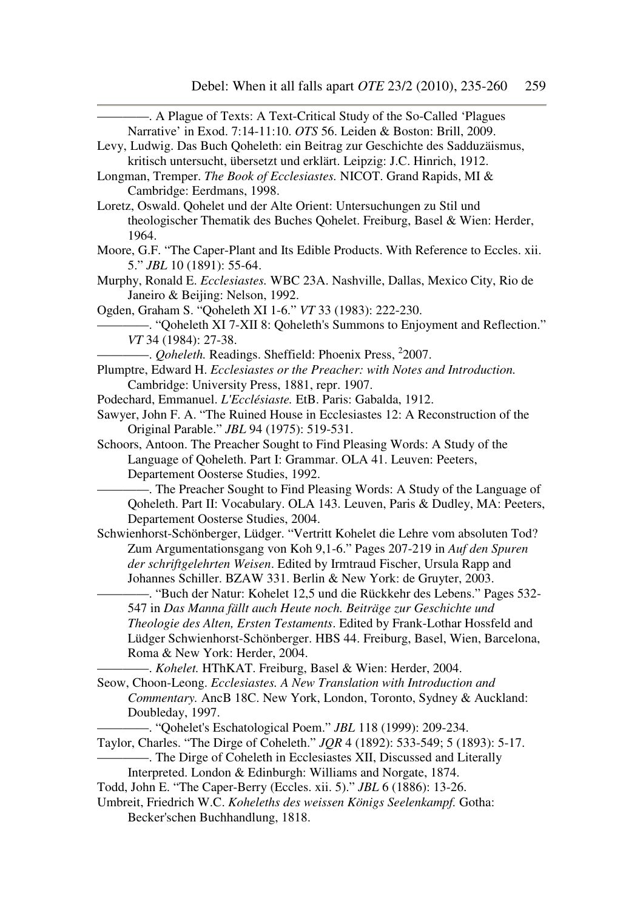| Narrative' in Exod. 7:14-11:10. OTS 56. Leiden & Boston: Brill, 2009.                |  |  |
|--------------------------------------------------------------------------------------|--|--|
| Levy, Ludwig. Das Buch Qoheleth: ein Beitrag zur Geschichte des Sadduzäismus,        |  |  |
| kritisch untersucht, übersetzt und erklärt. Leipzig: J.C. Hinrich, 1912.             |  |  |
| Longman, Tremper. The Book of Ecclesiastes. NICOT. Grand Rapids, MI &                |  |  |
| Cambridge: Eerdmans, 1998.                                                           |  |  |
| Loretz, Oswald. Qohelet und der Alte Orient: Untersuchungen zu Stil und              |  |  |
| theologischer Thematik des Buches Qohelet. Freiburg, Basel & Wien: Herder,           |  |  |
| 1964.                                                                                |  |  |
| Moore, G.F. "The Caper-Plant and Its Edible Products. With Reference to Eccles. xii. |  |  |
| 5." JBL 10 (1891): 55-64.                                                            |  |  |
| Murphy, Ronald E. Ecclesiastes. WBC 23A. Nashville, Dallas, Mexico City, Rio de      |  |  |
| Janeiro & Beijing: Nelson, 1992.                                                     |  |  |
| Ogden, Graham S. "Qoheleth XI 1-6." VT 33 (1983): 222-230.                           |  |  |
| - "Qoheleth XI 7-XII 8: Qoheleth's Summons to Enjoyment and Reflection."             |  |  |
| VT 34 (1984): 27-38.                                                                 |  |  |
| -. <i>Qoheleth</i> . Readings. Sheffield: Phoenix Press, <sup>2</sup> 2007.          |  |  |
| Plumptre, Edward H. Ecclesiastes or the Preacher: with Notes and Introduction.       |  |  |
| Cambridge: University Press, 1881, repr. 1907.                                       |  |  |
| Podechard, Emmanuel. L'Ecclésiaste. EtB. Paris: Gabalda, 1912.                       |  |  |
| Sawyer, John F. A. "The Ruined House in Ecclesiastes 12: A Reconstruction of the     |  |  |
| Original Parable." JBL 94 (1975): 519-531.                                           |  |  |
| Schoors, Antoon. The Preacher Sought to Find Pleasing Words: A Study of the          |  |  |
| Language of Qoheleth. Part I: Grammar. OLA 41. Leuven: Peeters,                      |  |  |
| Departement Oosterse Studies, 1992.                                                  |  |  |
| - The Preacher Sought to Find Pleasing Words: A Study of the Language of             |  |  |
| Qoheleth. Part II: Vocabulary. OLA 143. Leuven, Paris & Dudley, MA: Peeters,         |  |  |
| Departement Oosterse Studies, 2004.                                                  |  |  |
| Schwienhorst-Schönberger, Lüdger. "Vertritt Kohelet die Lehre vom absoluten Tod?     |  |  |
| Zum Argumentationsgang von Koh 9,1-6." Pages 207-219 in Auf den Spuren               |  |  |
| der schriftgelehrten Weisen. Edited by Irmtraud Fischer, Ursula Rapp and             |  |  |
| Johannes Schiller. BZAW 331. Berlin & New York: de Gruyter, 2003.                    |  |  |
| -. "Buch der Natur: Kohelet 12,5 und die Rückkehr des Lebens." Pages 532-            |  |  |
| 547 in Das Manna fällt auch Heute noch. Beiträge zur Geschichte und                  |  |  |
| Theologie des Alten, Ersten Testaments. Edited by Frank-Lothar Hossfeld and          |  |  |
| Lüdger Schwienhorst-Schönberger. HBS 44. Freiburg, Basel, Wien, Barcelona,           |  |  |
| Roma & New York: Herder, 2004.                                                       |  |  |
| -. Kohelet. HThKAT. Freiburg, Basel & Wien: Herder, 2004.                            |  |  |
| Seow, Choon-Leong. Ecclesiastes. A New Translation with Introduction and             |  |  |
| Commentary. AncB 18C. New York, London, Toronto, Sydney & Auckland:                  |  |  |
| Doubleday, 1997.                                                                     |  |  |
| -. "Qohelet's Eschatological Poem." JBL 118 (1999): 209-234.                         |  |  |
| Taylor, Charles. "The Dirge of Coheleth." JQR 4 (1892): 533-549; 5 (1893): 5-17.     |  |  |
| -. The Dirge of Coheleth in Ecclesiastes XII, Discussed and Literally                |  |  |
| Interpreted. London & Edinburgh: Williams and Norgate, 1874.                         |  |  |
| Todd, John E. "The Caper-Berry (Eccles. xii. 5)." JBL 6 (1886): 13-26.               |  |  |
| Umbreit, Friedrich W.C. Koheleths des weissen Königs Seelenkampf. Gotha:             |  |  |

Becker'schen Buchhandlung, 1818.